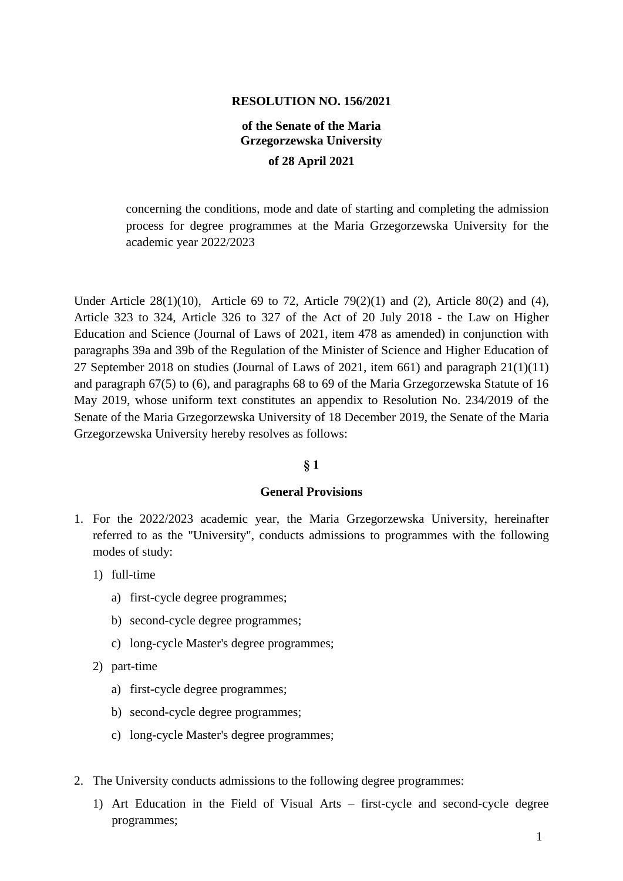### **RESOLUTION NO. 156/2021**

# **of the Senate of the Maria Grzegorzewska University**

#### **of 28 April 2021**

concerning the conditions, mode and date of starting and completing the admission process for degree programmes at the Maria Grzegorzewska University for the academic year 2022/2023

Under Article 28(1)(10), Article 69 to 72, Article 79(2)(1) and (2), Article 80(2) and (4), Article 323 to 324, Article 326 to 327 of the Act of 20 July 2018 - the Law on Higher Education and Science (Journal of Laws of 2021, item 478 as amended) in conjunction with paragraphs 39a and 39b of the Regulation of the Minister of Science and Higher Education of 27 September 2018 on studies (Journal of Laws of 2021, item 661) and paragraph 21(1)(11) and paragraph 67(5) to (6), and paragraphs 68 to 69 of the Maria Grzegorzewska Statute of 16 May 2019, whose uniform text constitutes an appendix to Resolution No. 234/2019 of the Senate of the Maria Grzegorzewska University of 18 December 2019, the Senate of the Maria Grzegorzewska University hereby resolves as follows:

### **§ 1**

#### **General Provisions**

- 1. For the 2022/2023 academic year, the Maria Grzegorzewska University, hereinafter referred to as the "University", conducts admissions to programmes with the following modes of study:
	- 1) full-time
		- a) first-cycle degree programmes;
		- b) second-cycle degree programmes;
		- c) long-cycle Master's degree programmes;
	- 2) part-time
		- a) first-cycle degree programmes;
		- b) second-cycle degree programmes;
		- c) long-cycle Master's degree programmes;
- 2. The University conducts admissions to the following degree programmes:
	- 1) Art Education in the Field of Visual Arts first-cycle and second-cycle degree programmes;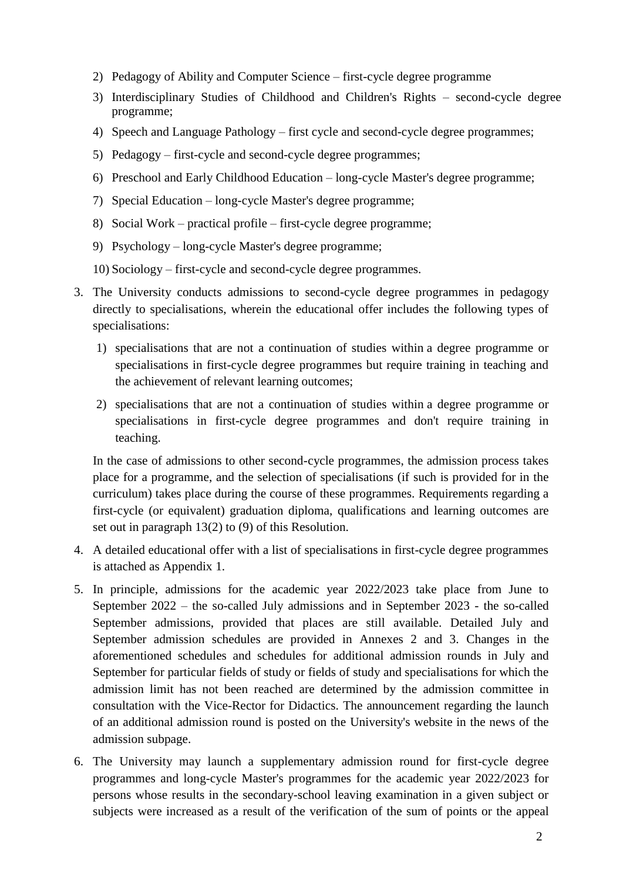- 2) Pedagogy of Ability and Computer Science first-cycle degree programme
- 3) Interdisciplinary Studies of Childhood and Children's Rights second-cycle degree programme;
- 4) Speech and Language Pathology first cycle and second-cycle degree programmes;
- 5) Pedagogy first-cycle and second-cycle degree programmes;
- 6) Preschool and Early Childhood Education long-cycle Master's degree programme;
- 7) Special Education long-cycle Master's degree programme;
- 8) Social Work practical profile first-cycle degree programme;
- 9) Psychology long-cycle Master's degree programme;
- 10) Sociology first-cycle and second-cycle degree programmes.
- 3. The University conducts admissions to second-cycle degree programmes in pedagogy directly to specialisations, wherein the educational offer includes the following types of specialisations:
	- 1) specialisations that are not a continuation of studies within a degree programme or specialisations in first-cycle degree programmes but require training in teaching and the achievement of relevant learning outcomes;
	- 2) specialisations that are not a continuation of studies within a degree programme or specialisations in first-cycle degree programmes and don't require training in teaching.

In the case of admissions to other second-cycle programmes, the admission process takes place for a programme, and the selection of specialisations (if such is provided for in the curriculum) takes place during the course of these programmes. Requirements regarding a first-cycle (or equivalent) graduation diploma, qualifications and learning outcomes are set out in paragraph 13(2) to (9) of this Resolution.

- 4. A detailed educational offer with a list of specialisations in first-cycle degree programmes is attached as Appendix 1.
- 5. In principle, admissions for the academic year 2022/2023 take place from June to September 2022 – the so-called July admissions and in September 2023 - the so-called September admissions, provided that places are still available. Detailed July and September admission schedules are provided in Annexes 2 and 3. Changes in the aforementioned schedules and schedules for additional admission rounds in July and September for particular fields of study or fields of study and specialisations for which the admission limit has not been reached are determined by the admission committee in consultation with the Vice-Rector for Didactics. The announcement regarding the launch of an additional admission round is posted on the University's website in the news of the admission subpage.
- 6. The University may launch a supplementary admission round for first-cycle degree programmes and long-cycle Master's programmes for the academic year 2022/2023 for persons whose results in the secondary-school leaving examination in a given subject or subjects were increased as a result of the verification of the sum of points or the appeal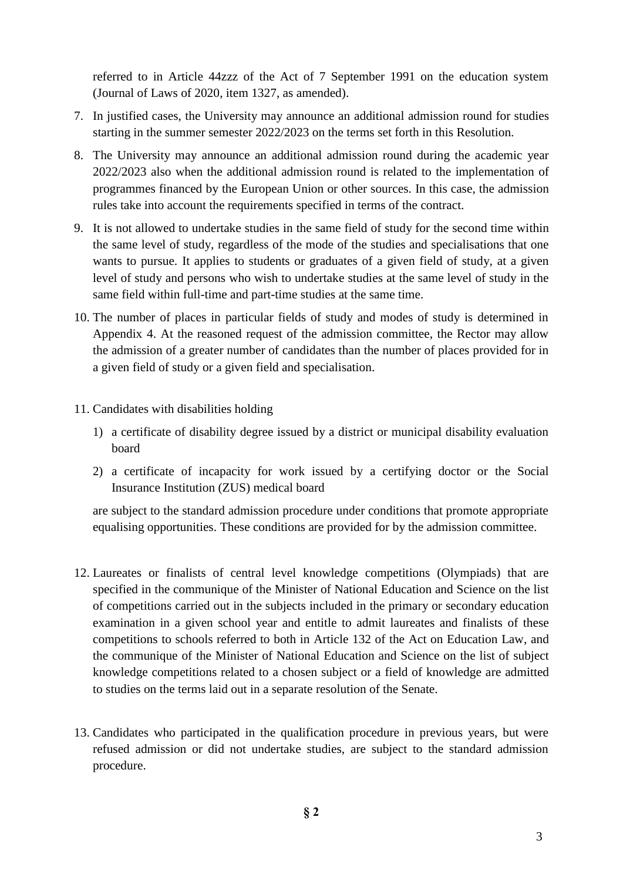referred to in Article 44zzz of the Act of 7 September 1991 on the education system (Journal of Laws of 2020, item 1327, as amended).

- 7. In justified cases, the University may announce an additional admission round for studies starting in the summer semester 2022/2023 on the terms set forth in this Resolution.
- 8. The University may announce an additional admission round during the academic year 2022/2023 also when the additional admission round is related to the implementation of programmes financed by the European Union or other sources. In this case, the admission rules take into account the requirements specified in terms of the contract.
- 9. It is not allowed to undertake studies in the same field of study for the second time within the same level of study, regardless of the mode of the studies and specialisations that one wants to pursue. It applies to students or graduates of a given field of study, at a given level of study and persons who wish to undertake studies at the same level of study in the same field within full-time and part-time studies at the same time.
- 10. The number of places in particular fields of study and modes of study is determined in Appendix 4. At the reasoned request of the admission committee, the Rector may allow the admission of a greater number of candidates than the number of places provided for in a given field of study or a given field and specialisation.
- 11. Candidates with disabilities holding
	- 1) a certificate of disability degree issued by a district or municipal disability evaluation board
	- 2) a certificate of incapacity for work issued by a certifying doctor or the Social Insurance Institution (ZUS) medical board

are subject to the standard admission procedure under conditions that promote appropriate equalising opportunities. These conditions are provided for by the admission committee.

- 12. Laureates or finalists of central level knowledge competitions (Olympiads) that are specified in the communique of the Minister of National Education and Science on the list of competitions carried out in the subjects included in the primary or secondary education examination in a given school year and entitle to admit laureates and finalists of these competitions to schools referred to both in Article 132 of the Act on Education Law, and the communique of the Minister of National Education and Science on the list of subject knowledge competitions related to a chosen subject or a field of knowledge are admitted to studies on the terms laid out in a separate resolution of the Senate.
- 13. Candidates who participated in the qualification procedure in previous years, but were refused admission or did not undertake studies, are subject to the standard admission procedure.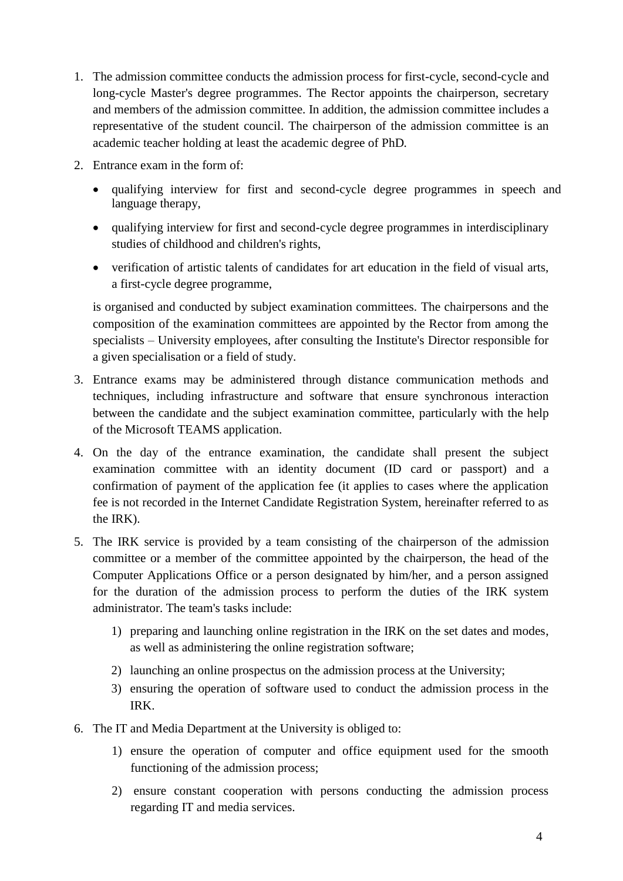- 1. The admission committee conducts the admission process for first-cycle, second-cycle and long-cycle Master's degree programmes. The Rector appoints the chairperson, secretary and members of the admission committee. In addition, the admission committee includes a representative of the student council. The chairperson of the admission committee is an academic teacher holding at least the academic degree of PhD*.*
- 2. Entrance exam in the form of:
	- qualifying interview for first and second-cycle degree programmes in speech and language therapy,
	- qualifying interview for first and second-cycle degree programmes in interdisciplinary studies of childhood and children's rights,
	- verification of artistic talents of candidates for art education in the field of visual arts, a first-cycle degree programme,

is organised and conducted by subject examination committees. The chairpersons and the composition of the examination committees are appointed by the Rector from among the specialists – University employees, after consulting the Institute's Director responsible for a given specialisation or a field of study.

- 3. Entrance exams may be administered through distance communication methods and techniques, including infrastructure and software that ensure synchronous interaction between the candidate and the subject examination committee, particularly with the help of the Microsoft TEAMS application.
- 4. On the day of the entrance examination, the candidate shall present the subject examination committee with an identity document (ID card or passport) and a confirmation of payment of the application fee (it applies to cases where the application fee is not recorded in the Internet Candidate Registration System, hereinafter referred to as the IRK).
- 5. The IRK service is provided by a team consisting of the chairperson of the admission committee or a member of the committee appointed by the chairperson, the head of the Computer Applications Office or a person designated by him/her, and a person assigned for the duration of the admission process to perform the duties of the IRK system administrator. The team's tasks include:
	- 1) preparing and launching online registration in the IRK on the set dates and modes, as well as administering the online registration software;
	- 2) launching an online prospectus on the admission process at the University;
	- 3) ensuring the operation of software used to conduct the admission process in the IRK.
- 6. The IT and Media Department at the University is obliged to:
	- 1) ensure the operation of computer and office equipment used for the smooth functioning of the admission process;
	- 2) ensure constant cooperation with persons conducting the admission process regarding IT and media services.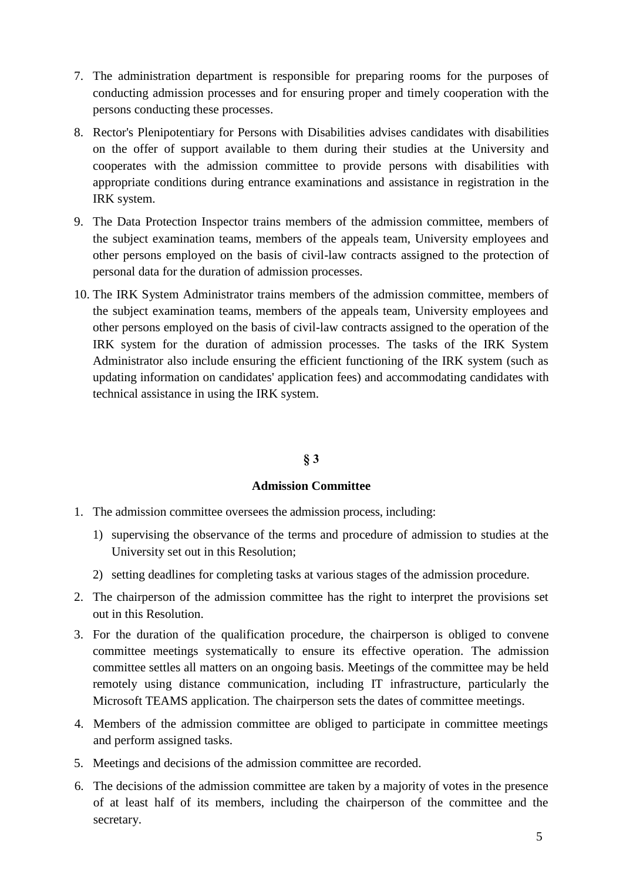- 7. The administration department is responsible for preparing rooms for the purposes of conducting admission processes and for ensuring proper and timely cooperation with the persons conducting these processes.
- 8. Rector's Plenipotentiary for Persons with Disabilities advises candidates with disabilities on the offer of support available to them during their studies at the University and cooperates with the admission committee to provide persons with disabilities with appropriate conditions during entrance examinations and assistance in registration in the IRK system.
- 9. The Data Protection Inspector trains members of the admission committee, members of the subject examination teams, members of the appeals team, University employees and other persons employed on the basis of civil-law contracts assigned to the protection of personal data for the duration of admission processes.
- 10. The IRK System Administrator trains members of the admission committee, members of the subject examination teams, members of the appeals team, University employees and other persons employed on the basis of civil-law contracts assigned to the operation of the IRK system for the duration of admission processes. The tasks of the IRK System Administrator also include ensuring the efficient functioning of the IRK system (such as updating information on candidates' application fees) and accommodating candidates with technical assistance in using the IRK system.

## **§ 3**

### **Admission Committee**

- 1. The admission committee oversees the admission process, including:
	- 1) supervising the observance of the terms and procedure of admission to studies at the University set out in this Resolution;
	- 2) setting deadlines for completing tasks at various stages of the admission procedure.
- 2. The chairperson of the admission committee has the right to interpret the provisions set out in this Resolution.
- 3. For the duration of the qualification procedure, the chairperson is obliged to convene committee meetings systematically to ensure its effective operation. The admission committee settles all matters on an ongoing basis. Meetings of the committee may be held remotely using distance communication, including IT infrastructure, particularly the Microsoft TEAMS application. The chairperson sets the dates of committee meetings.
- 4. Members of the admission committee are obliged to participate in committee meetings and perform assigned tasks.
- 5. Meetings and decisions of the admission committee are recorded.
- 6. The decisions of the admission committee are taken by a majority of votes in the presence of at least half of its members, including the chairperson of the committee and the secretary.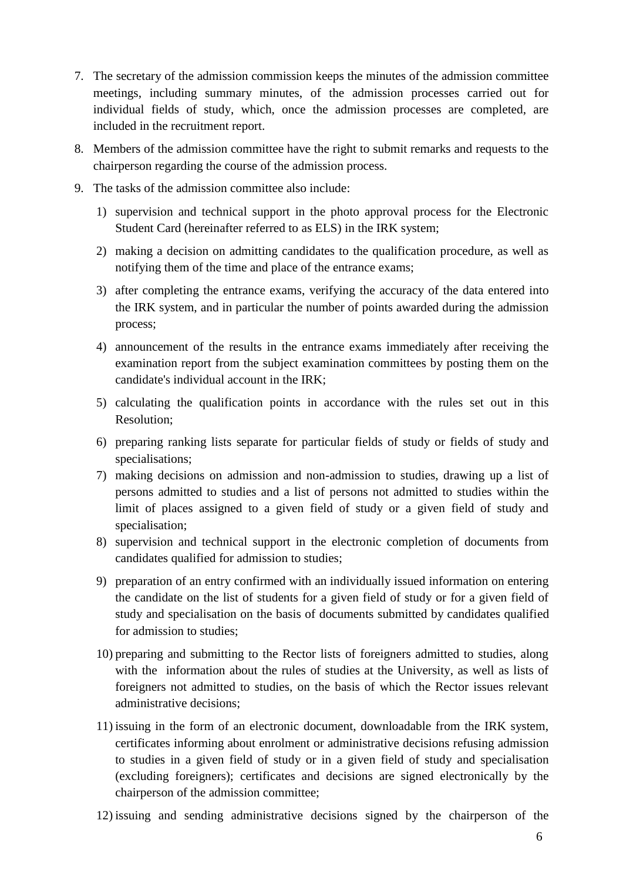- 7. The secretary of the admission commission keeps the minutes of the admission committee meetings, including summary minutes, of the admission processes carried out for individual fields of study, which, once the admission processes are completed, are included in the recruitment report.
- 8. Members of the admission committee have the right to submit remarks and requests to the chairperson regarding the course of the admission process.
- 9. The tasks of the admission committee also include:
	- 1) supervision and technical support in the photo approval process for the Electronic Student Card (hereinafter referred to as ELS) in the IRK system;
	- 2) making a decision on admitting candidates to the qualification procedure, as well as notifying them of the time and place of the entrance exams;
	- 3) after completing the entrance exams, verifying the accuracy of the data entered into the IRK system, and in particular the number of points awarded during the admission process;
	- 4) announcement of the results in the entrance exams immediately after receiving the examination report from the subject examination committees by posting them on the candidate's individual account in the IRK;
	- 5) calculating the qualification points in accordance with the rules set out in this Resolution;
	- 6) preparing ranking lists separate for particular fields of study or fields of study and specialisations;
	- 7) making decisions on admission and non-admission to studies, drawing up a list of persons admitted to studies and a list of persons not admitted to studies within the limit of places assigned to a given field of study or a given field of study and specialisation;
	- 8) supervision and technical support in the electronic completion of documents from candidates qualified for admission to studies;
	- 9) preparation of an entry confirmed with an individually issued information on entering the candidate on the list of students for a given field of study or for a given field of study and specialisation on the basis of documents submitted by candidates qualified for admission to studies;
	- 10) preparing and submitting to the Rector lists of foreigners admitted to studies, along with the information about the rules of studies at the University, as well as lists of foreigners not admitted to studies, on the basis of which the Rector issues relevant administrative decisions;
	- 11) issuing in the form of an electronic document, downloadable from the IRK system, certificates informing about enrolment or administrative decisions refusing admission to studies in a given field of study or in a given field of study and specialisation (excluding foreigners); certificates and decisions are signed electronically by the chairperson of the admission committee;
	- 12) issuing and sending administrative decisions signed by the chairperson of the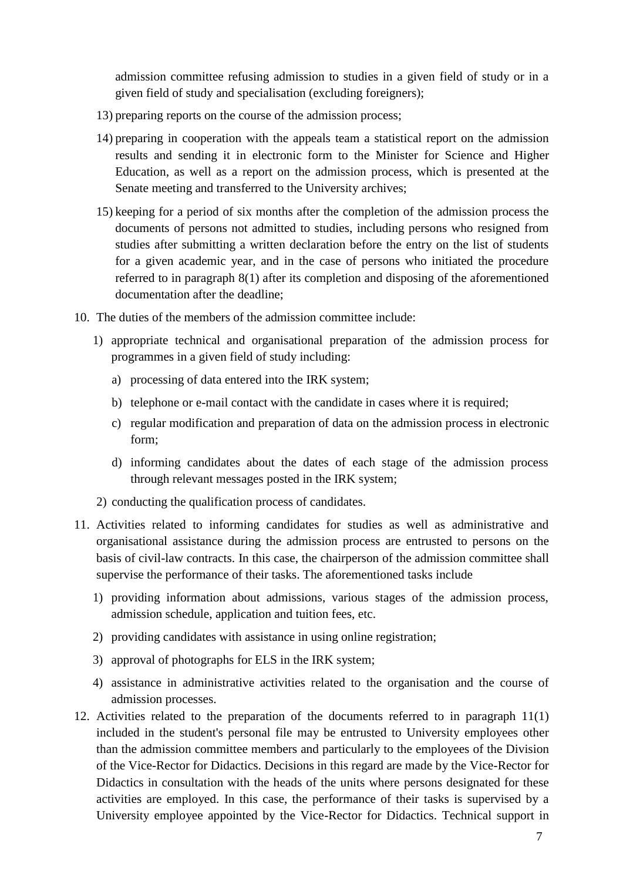admission committee refusing admission to studies in a given field of study or in a given field of study and specialisation (excluding foreigners);

- 13) preparing reports on the course of the admission process;
- 14) preparing in cooperation with the appeals team a statistical report on the admission results and sending it in electronic form to the Minister for Science and Higher Education, as well as a report on the admission process, which is presented at the Senate meeting and transferred to the University archives;
- 15) keeping for a period of six months after the completion of the admission process the documents of persons not admitted to studies, including persons who resigned from studies after submitting a written declaration before the entry on the list of students for a given academic year, and in the case of persons who initiated the procedure referred to in paragraph 8(1) after its completion and disposing of the aforementioned documentation after the deadline;
- 10. The duties of the members of the admission committee include:
	- 1) appropriate technical and organisational preparation of the admission process for programmes in a given field of study including:
		- a) processing of data entered into the IRK system;
		- b) telephone or e-mail contact with the candidate in cases where it is required;
		- c) regular modification and preparation of data on the admission process in electronic form;
		- d) informing candidates about the dates of each stage of the admission process through relevant messages posted in the IRK system;
	- 2) conducting the qualification process of candidates.
- 11. Activities related to informing candidates for studies as well as administrative and organisational assistance during the admission process are entrusted to persons on the basis of civil-law contracts. In this case, the chairperson of the admission committee shall supervise the performance of their tasks. The aforementioned tasks include
	- 1) providing information about admissions, various stages of the admission process, admission schedule, application and tuition fees, etc.
	- 2) providing candidates with assistance in using online registration;
	- 3) approval of photographs for ELS in the IRK system;
	- 4) assistance in administrative activities related to the organisation and the course of admission processes.
- 12. Activities related to the preparation of the documents referred to in paragraph 11(1) included in the student's personal file may be entrusted to University employees other than the admission committee members and particularly to the employees of the Division of the Vice-Rector for Didactics. Decisions in this regard are made by the Vice-Rector for Didactics in consultation with the heads of the units where persons designated for these activities are employed. In this case, the performance of their tasks is supervised by a University employee appointed by the Vice-Rector for Didactics. Technical support in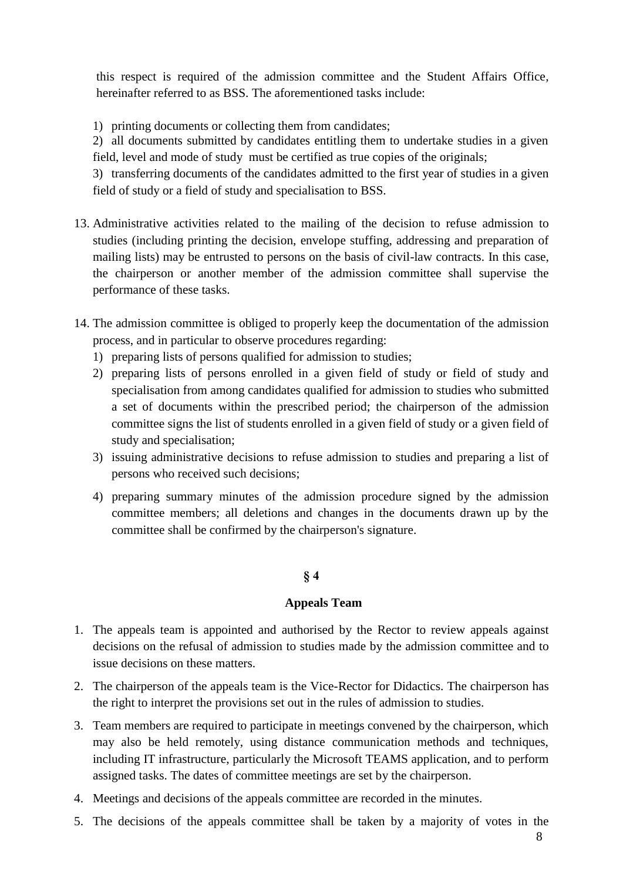this respect is required of the admission committee and the Student Affairs Office, hereinafter referred to as BSS. The aforementioned tasks include:

1) printing documents or collecting them from candidates;

2) all documents submitted by candidates entitling them to undertake studies in a given field, level and mode of study must be certified as true copies of the originals;

3) transferring documents of the candidates admitted to the first year of studies in a given field of study or a field of study and specialisation to BSS.

- 13. Administrative activities related to the mailing of the decision to refuse admission to studies (including printing the decision, envelope stuffing, addressing and preparation of mailing lists) may be entrusted to persons on the basis of civil-law contracts. In this case, the chairperson or another member of the admission committee shall supervise the performance of these tasks.
- 14. The admission committee is obliged to properly keep the documentation of the admission process, and in particular to observe procedures regarding:
	- 1) preparing lists of persons qualified for admission to studies;
	- 2) preparing lists of persons enrolled in a given field of study or field of study and specialisation from among candidates qualified for admission to studies who submitted a set of documents within the prescribed period; the chairperson of the admission committee signs the list of students enrolled in a given field of study or a given field of study and specialisation;
	- 3) issuing administrative decisions to refuse admission to studies and preparing a list of persons who received such decisions;
	- 4) preparing summary minutes of the admission procedure signed by the admission committee members; all deletions and changes in the documents drawn up by the committee shall be confirmed by the chairperson's signature.

## **§ 4**

## **Appeals Team**

- 1. The appeals team is appointed and authorised by the Rector to review appeals against decisions on the refusal of admission to studies made by the admission committee and to issue decisions on these matters.
- 2. The chairperson of the appeals team is the Vice-Rector for Didactics. The chairperson has the right to interpret the provisions set out in the rules of admission to studies.
- 3. Team members are required to participate in meetings convened by the chairperson, which may also be held remotely, using distance communication methods and techniques, including IT infrastructure, particularly the Microsoft TEAMS application, and to perform assigned tasks. The dates of committee meetings are set by the chairperson.
- 4. Meetings and decisions of the appeals committee are recorded in the minutes.
- 5. The decisions of the appeals committee shall be taken by a majority of votes in the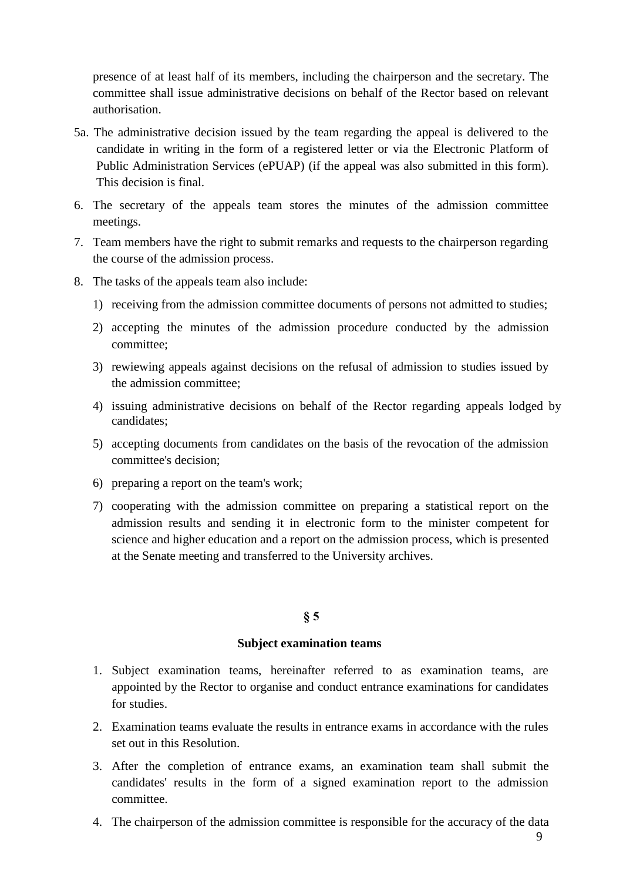presence of at least half of its members, including the chairperson and the secretary. The committee shall issue administrative decisions on behalf of the Rector based on relevant authorisation.

- 5a. The administrative decision issued by the team regarding the appeal is delivered to the candidate in writing in the form of a registered letter or via the Electronic Platform of Public Administration Services (ePUAP) (if the appeal was also submitted in this form). This decision is final.
- 6. The secretary of the appeals team stores the minutes of the admission committee meetings.
- 7. Team members have the right to submit remarks and requests to the chairperson regarding the course of the admission process.
- 8. The tasks of the appeals team also include:
	- 1) receiving from the admission committee documents of persons not admitted to studies;
	- 2) accepting the minutes of the admission procedure conducted by the admission committee;
	- 3) rewiewing appeals against decisions on the refusal of admission to studies issued by the admission committee;
	- 4) issuing administrative decisions on behalf of the Rector regarding appeals lodged by candidates;
	- 5) accepting documents from candidates on the basis of the revocation of the admission committee's decision;
	- 6) preparing a report on the team's work;
	- 7) cooperating with the admission committee on preparing a statistical report on the admission results and sending it in electronic form to the minister competent for science and higher education and a report on the admission process, which is presented at the Senate meeting and transferred to the University archives.

### **§ 5**

### **Subject examination teams**

- 1. Subject examination teams, hereinafter referred to as examination teams, are appointed by the Rector to organise and conduct entrance examinations for candidates for studies.
- 2. Examination teams evaluate the results in entrance exams in accordance with the rules set out in this Resolution.
- 3. After the completion of entrance exams, an examination team shall submit the candidates' results in the form of a signed examination report to the admission committee.
- 4. The chairperson of the admission committee is responsible for the accuracy of the data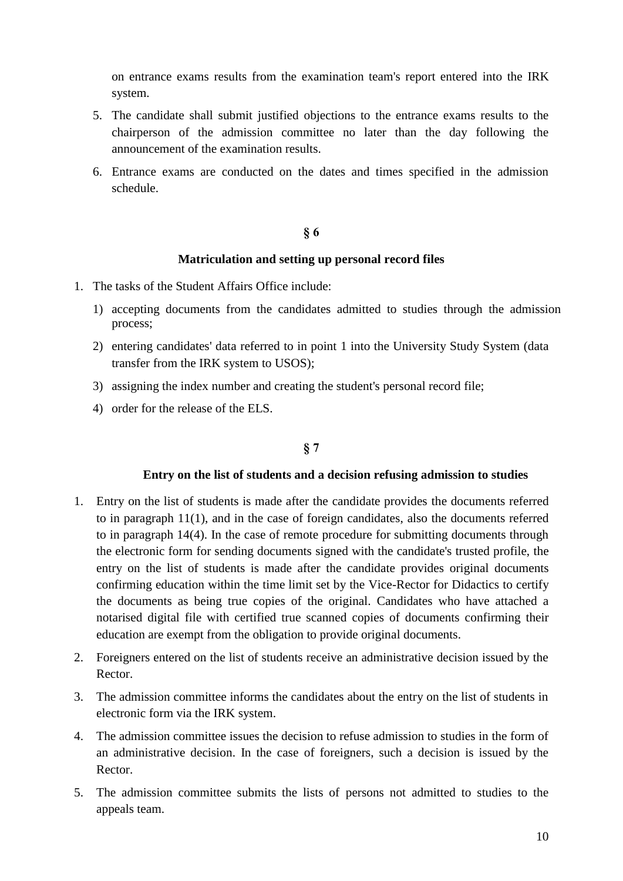on entrance exams results from the examination team's report entered into the IRK system.

- 5. The candidate shall submit justified objections to the entrance exams results to the chairperson of the admission committee no later than the day following the announcement of the examination results.
- 6. Entrance exams are conducted on the dates and times specified in the admission schedule.

### **§ 6**

## **Matriculation and setting up personal record files**

- 1. The tasks of the Student Affairs Office include:
	- 1) accepting documents from the candidates admitted to studies through the admission process;
	- 2) entering candidates' data referred to in point 1 into the University Study System (data transfer from the IRK system to USOS);
	- 3) assigning the index number and creating the student's personal record file;
	- 4) order for the release of the ELS.

## **§ 7**

## **Entry on the list of students and a decision refusing admission to studies**

- 1. Entry on the list of students is made after the candidate provides the documents referred to in paragraph 11(1), and in the case of foreign candidates, also the documents referred to in paragraph 14(4). In the case of remote procedure for submitting documents through the electronic form for sending documents signed with the candidate's trusted profile, the entry on the list of students is made after the candidate provides original documents confirming education within the time limit set by the Vice-Rector for Didactics to certify the documents as being true copies of the original. Candidates who have attached a notarised digital file with certified true scanned copies of documents confirming their education are exempt from the obligation to provide original documents.
- 2. Foreigners entered on the list of students receive an administrative decision issued by the Rector.
- 3. The admission committee informs the candidates about the entry on the list of students in electronic form via the IRK system.
- 4. The admission committee issues the decision to refuse admission to studies in the form of an administrative decision. In the case of foreigners, such a decision is issued by the Rector.
- 5. The admission committee submits the lists of persons not admitted to studies to the appeals team.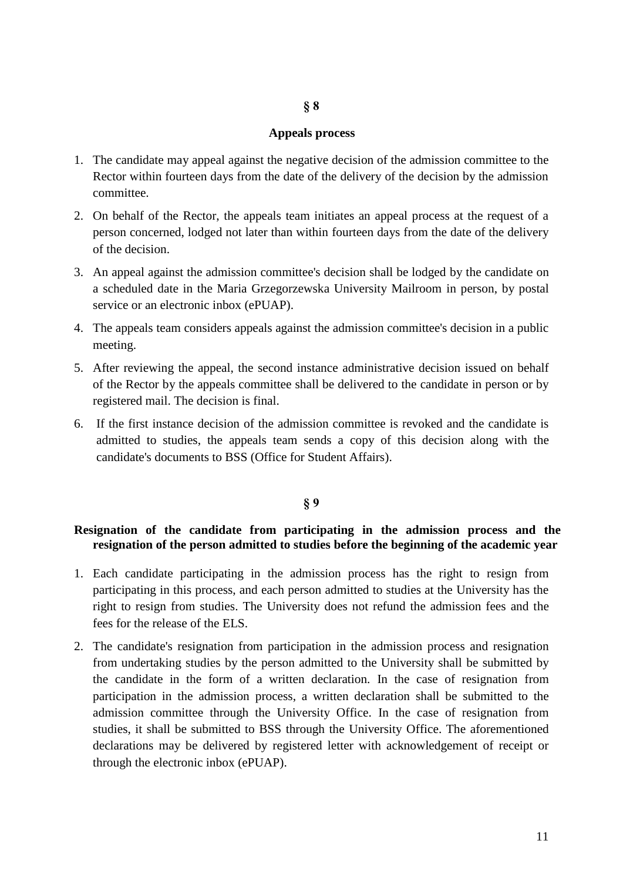### **§ 8**

#### **Appeals process**

- 1. The candidate may appeal against the negative decision of the admission committee to the Rector within fourteen days from the date of the delivery of the decision by the admission committee.
- 2. On behalf of the Rector, the appeals team initiates an appeal process at the request of a person concerned, lodged not later than within fourteen days from the date of the delivery of the decision.
- 3. An appeal against the admission committee's decision shall be lodged by the candidate on a scheduled date in the Maria Grzegorzewska University Mailroom in person, by postal service or an electronic inbox (ePUAP).
- 4. The appeals team considers appeals against the admission committee's decision in a public meeting.
- 5. After reviewing the appeal, the second instance administrative decision issued on behalf of the Rector by the appeals committee shall be delivered to the candidate in person or by registered mail. The decision is final.
- 6. If the first instance decision of the admission committee is revoked and the candidate is admitted to studies, the appeals team sends a copy of this decision along with the candidate's documents to BSS (Office for Student Affairs).

### **§ 9**

## **Resignation of the candidate from participating in the admission process and the resignation of the person admitted to studies before the beginning of the academic year**

- 1. Each candidate participating in the admission process has the right to resign from participating in this process, and each person admitted to studies at the University has the right to resign from studies. The University does not refund the admission fees and the fees for the release of the ELS.
- 2. The candidate's resignation from participation in the admission process and resignation from undertaking studies by the person admitted to the University shall be submitted by the candidate in the form of a written declaration. In the case of resignation from participation in the admission process, a written declaration shall be submitted to the admission committee through the University Office. In the case of resignation from studies, it shall be submitted to BSS through the University Office. The aforementioned declarations may be delivered by registered letter with acknowledgement of receipt or through the electronic inbox (ePUAP).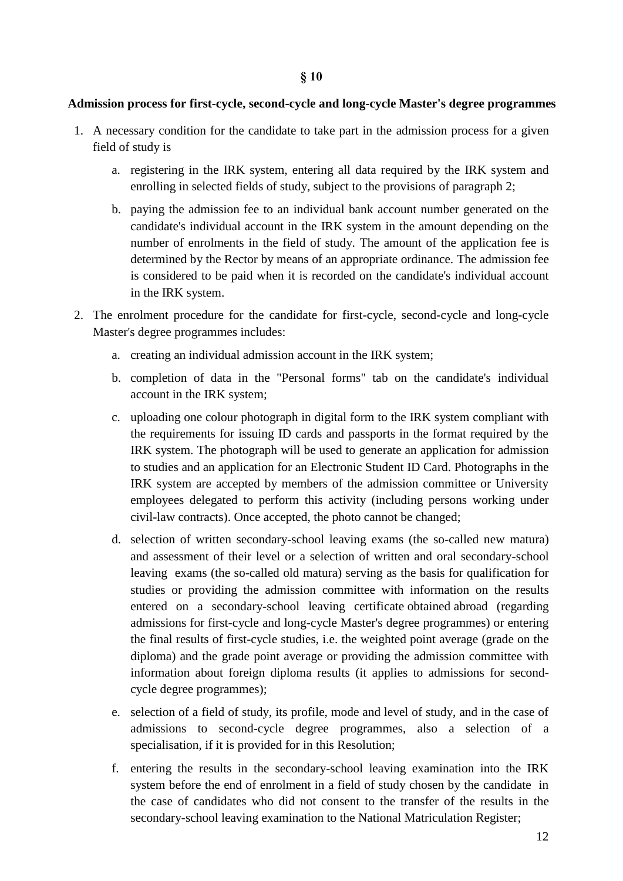## **Admission process for first-cycle, second-cycle and long-cycle Master's degree programmes**

- 1. A necessary condition for the candidate to take part in the admission process for a given field of study is
	- a. registering in the IRK system, entering all data required by the IRK system and enrolling in selected fields of study, subject to the provisions of paragraph 2;
	- b. paying the admission fee to an individual bank account number generated on the candidate's individual account in the IRK system in the amount depending on the number of enrolments in the field of study. The amount of the application fee is determined by the Rector by means of an appropriate ordinance. The admission fee is considered to be paid when it is recorded on the candidate's individual account in the IRK system.
- 2. The enrolment procedure for the candidate for first-cycle, second-cycle and long-cycle Master's degree programmes includes:
	- a. creating an individual admission account in the IRK system;
	- b. completion of data in the "Personal forms" tab on the candidate's individual account in the IRK system;
	- c. uploading one colour photograph in digital form to the IRK system compliant with the requirements for issuing ID cards and passports in the format required by the IRK system. The photograph will be used to generate an application for admission to studies and an application for an Electronic Student ID Card. Photographs in the IRK system are accepted by members of the admission committee or University employees delegated to perform this activity (including persons working under civil-law contracts). Once accepted, the photo cannot be changed;
	- d. selection of written secondary-school leaving exams (the so-called new matura) and assessment of their level or a selection of written and oral secondary-school leaving exams (the so-called old matura) serving as the basis for qualification for studies or providing the admission committee with information on the results entered on a secondary-school leaving certificate obtained abroad (regarding admissions for first-cycle and long-cycle Master's degree programmes) or entering the final results of first-cycle studies, i.e. the weighted point average (grade on the diploma) and the grade point average or providing the admission committee with information about foreign diploma results (it applies to admissions for secondcycle degree programmes);
	- e. selection of a field of study, its profile, mode and level of study, and in the case of admissions to second-cycle degree programmes, also a selection of a specialisation, if it is provided for in this Resolution;
	- f. entering the results in the secondary-school leaving examination into the IRK system before the end of enrolment in a field of study chosen by the candidate in the case of candidates who did not consent to the transfer of the results in the secondary-school leaving examination to the National Matriculation Register;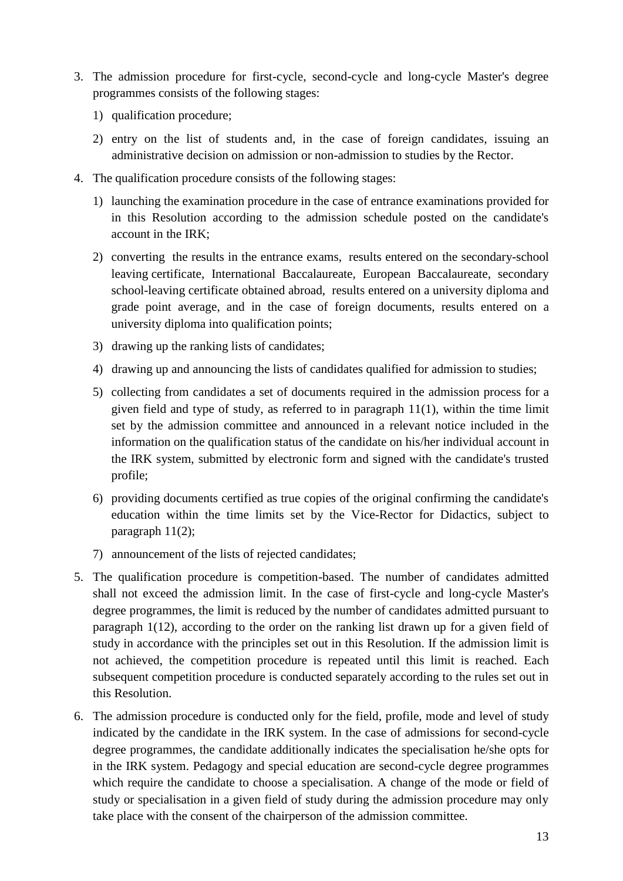- 3. The admission procedure for first-cycle, second-cycle and long-cycle Master's degree programmes consists of the following stages:
	- 1) qualification procedure;
	- 2) entry on the list of students and, in the case of foreign candidates, issuing an administrative decision on admission or non-admission to studies by the Rector.
- 4. The qualification procedure consists of the following stages:
	- 1) launching the examination procedure in the case of entrance examinations provided for in this Resolution according to the admission schedule posted on the candidate's account in the IRK;
	- 2) converting the results in the entrance exams, results entered on the secondary-school leaving certificate, International Baccalaureate, European Baccalaureate, secondary school-leaving certificate obtained abroad, results entered on a university diploma and grade point average, and in the case of foreign documents, results entered on a university diploma into qualification points;
	- 3) drawing up the ranking lists of candidates;
	- 4) drawing up and announcing the lists of candidates qualified for admission to studies;
	- 5) collecting from candidates a set of documents required in the admission process for a given field and type of study, as referred to in paragraph 11(1), within the time limit set by the admission committee and announced in a relevant notice included in the information on the qualification status of the candidate on his/her individual account in the IRK system, submitted by electronic form and signed with the candidate's trusted profile;
	- 6) providing documents certified as true copies of the original confirming the candidate's education within the time limits set by the Vice-Rector for Didactics, subject to paragraph 11(2);
	- 7) announcement of the lists of rejected candidates;
- 5. The qualification procedure is competition-based. The number of candidates admitted shall not exceed the admission limit. In the case of first-cycle and long-cycle Master's degree programmes, the limit is reduced by the number of candidates admitted pursuant to paragraph 1(12), according to the order on the ranking list drawn up for a given field of study in accordance with the principles set out in this Resolution. If the admission limit is not achieved, the competition procedure is repeated until this limit is reached. Each subsequent competition procedure is conducted separately according to the rules set out in this Resolution.
- 6. The admission procedure is conducted only for the field, profile, mode and level of study indicated by the candidate in the IRK system. In the case of admissions for second-cycle degree programmes, the candidate additionally indicates the specialisation he/she opts for in the IRK system. Pedagogy and special education are second-cycle degree programmes which require the candidate to choose a specialisation. A change of the mode or field of study or specialisation in a given field of study during the admission procedure may only take place with the consent of the chairperson of the admission committee.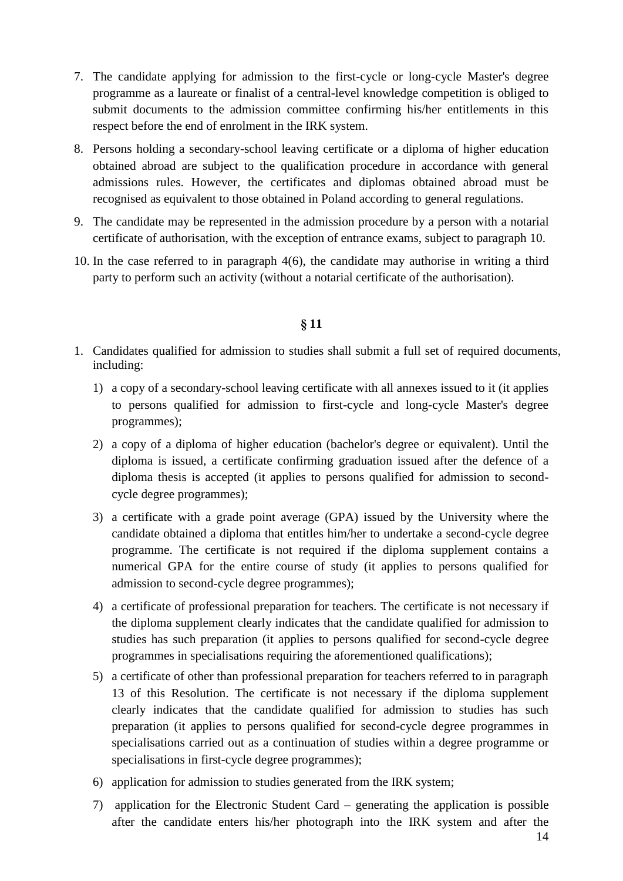- 7. The candidate applying for admission to the first-cycle or long-cycle Master's degree programme as a laureate or finalist of a central-level knowledge competition is obliged to submit documents to the admission committee confirming his/her entitlements in this respect before the end of enrolment in the IRK system.
- 8. Persons holding a secondary-school leaving certificate or a diploma of higher education obtained abroad are subject to the qualification procedure in accordance with general admissions rules. However, the certificates and diplomas obtained abroad must be recognised as equivalent to those obtained in Poland according to general regulations.
- 9. The candidate may be represented in the admission procedure by a person with a notarial certificate of authorisation, with the exception of entrance exams, subject to paragraph 10.
- 10. In the case referred to in paragraph 4(6), the candidate may authorise in writing a third party to perform such an activity (without a notarial certificate of the authorisation).

## **§ 11**

- 1. Candidates qualified for admission to studies shall submit a full set of required documents, including:
	- 1) a copy of a secondary-school leaving certificate with all annexes issued to it (it applies to persons qualified for admission to first-cycle and long-cycle Master's degree programmes);
	- 2) a copy of a diploma of higher education (bachelor's degree or equivalent). Until the diploma is issued, a certificate confirming graduation issued after the defence of a diploma thesis is accepted (it applies to persons qualified for admission to secondcycle degree programmes);
	- 3) a certificate with a grade point average (GPA) issued by the University where the candidate obtained a diploma that entitles him/her to undertake a second-cycle degree programme. The certificate is not required if the diploma supplement contains a numerical GPA for the entire course of study (it applies to persons qualified for admission to second-cycle degree programmes);
	- 4) a certificate of professional preparation for teachers. The certificate is not necessary if the diploma supplement clearly indicates that the candidate qualified for admission to studies has such preparation (it applies to persons qualified for second-cycle degree programmes in specialisations requiring the aforementioned qualifications);
	- 5) a certificate of other than professional preparation for teachers referred to in paragraph 13 of this Resolution. The certificate is not necessary if the diploma supplement clearly indicates that the candidate qualified for admission to studies has such preparation (it applies to persons qualified for second-cycle degree programmes in specialisations carried out as a continuation of studies within a degree programme or specialisations in first-cycle degree programmes);
	- 6) application for admission to studies generated from the IRK system;
	- 7) application for the Electronic Student Card generating the application is possible after the candidate enters his/her photograph into the IRK system and after the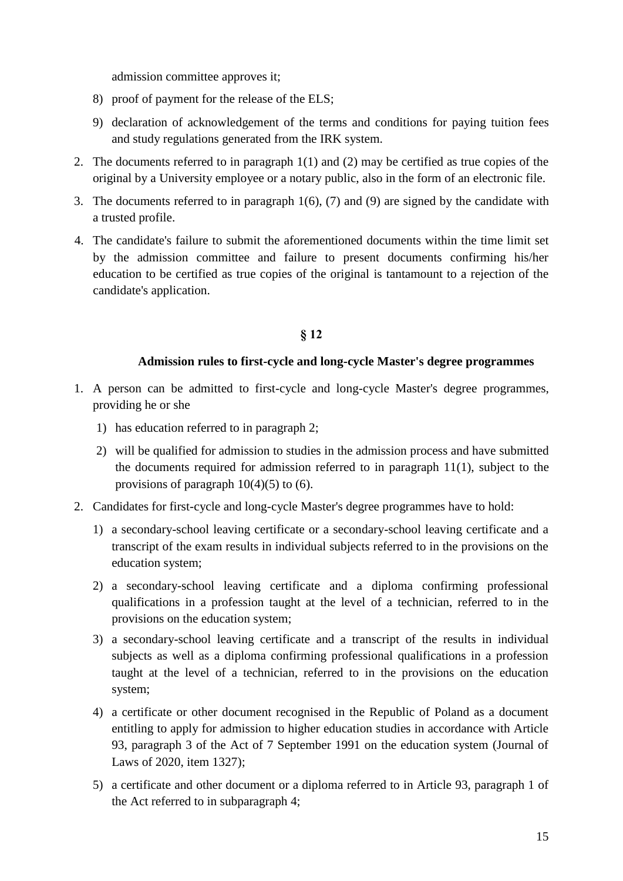admission committee approves it;

- 8) proof of payment for the release of the ELS;
- 9) declaration of acknowledgement of the terms and conditions for paying tuition fees and study regulations generated from the IRK system.
- 2. The documents referred to in paragraph 1(1) and (2) may be certified as true copies of the original by a University employee or a notary public, also in the form of an electronic file.
- 3. The documents referred to in paragraph 1(6), (7) and (9) are signed by the candidate with a trusted profile.
- 4. The candidate's failure to submit the aforementioned documents within the time limit set by the admission committee and failure to present documents confirming his/her education to be certified as true copies of the original is tantamount to a rejection of the candidate's application.

## **§ 12**

### **Admission rules to first-cycle and long-cycle Master's degree programmes**

- 1. A person can be admitted to first-cycle and long-cycle Master's degree programmes, providing he or she
	- 1) has education referred to in paragraph 2;
	- 2) will be qualified for admission to studies in the admission process and have submitted the documents required for admission referred to in paragraph 11(1), subject to the provisions of paragraph  $10(4)(5)$  to (6).
- 2. Candidates for first-cycle and long-cycle Master's degree programmes have to hold:
	- 1) a secondary-school leaving certificate or a secondary-school leaving certificate and a transcript of the exam results in individual subjects referred to in the provisions on the education system;
	- 2) a secondary-school leaving certificate and a diploma confirming professional qualifications in a profession taught at the level of a technician, referred to in the provisions on the education system;
	- 3) a secondary-school leaving certificate and a transcript of the results in individual subjects as well as a diploma confirming professional qualifications in a profession taught at the level of a technician, referred to in the provisions on the education system;
	- 4) a certificate or other document recognised in the Republic of Poland as a document entitling to apply for admission to higher education studies in accordance with Article 93, paragraph 3 of the Act of 7 September 1991 on the education system (Journal of Laws of 2020, item 1327);
	- 5) a certificate and other document or a diploma referred to in Article 93, paragraph 1 of the Act referred to in subparagraph 4;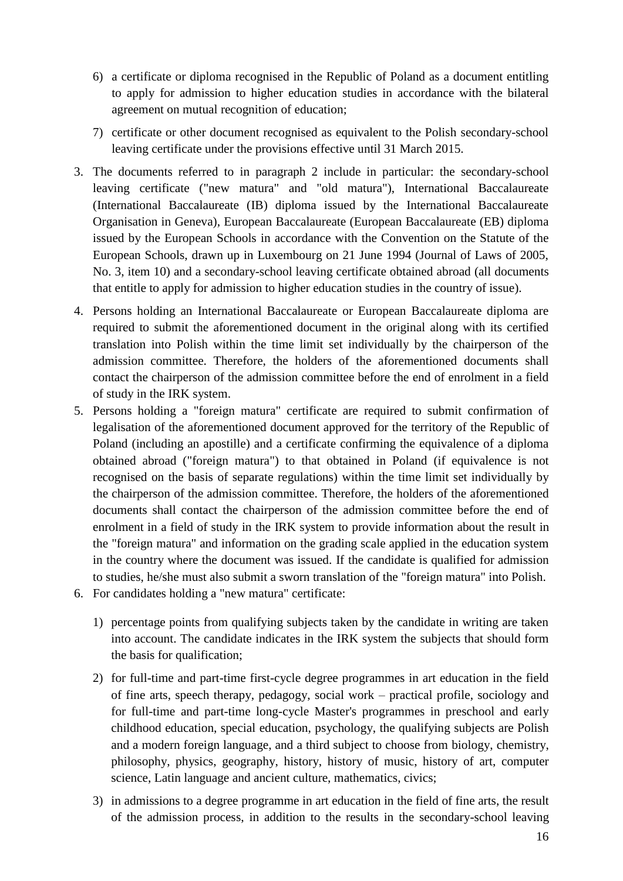- 6) a certificate or diploma recognised in the Republic of Poland as a document entitling to apply for admission to higher education studies in accordance with the bilateral agreement on mutual recognition of education;
- 7) certificate or other document recognised as equivalent to the Polish secondary-school leaving certificate under the provisions effective until 31 March 2015.
- 3. The documents referred to in paragraph 2 include in particular: the secondary-school leaving certificate ("new matura" and "old matura"), International Baccalaureate (International Baccalaureate (IB) diploma issued by the International Baccalaureate Organisation in Geneva), European Baccalaureate (European Baccalaureate (EB) diploma issued by the European Schools in accordance with the Convention on the Statute of the European Schools, drawn up in Luxembourg on 21 June 1994 (Journal of Laws of 2005, No. 3, item 10) and a secondary-school leaving certificate obtained abroad (all documents that entitle to apply for admission to higher education studies in the country of issue).
- 4. Persons holding an International Baccalaureate or European Baccalaureate diploma are required to submit the aforementioned document in the original along with its certified translation into Polish within the time limit set individually by the chairperson of the admission committee. Therefore, the holders of the aforementioned documents shall contact the chairperson of the admission committee before the end of enrolment in a field of study in the IRK system.
- 5. Persons holding a "foreign matura" certificate are required to submit confirmation of legalisation of the aforementioned document approved for the territory of the Republic of Poland (including an apostille) and a certificate confirming the equivalence of a diploma obtained abroad ("foreign matura") to that obtained in Poland (if equivalence is not recognised on the basis of separate regulations) within the time limit set individually by the chairperson of the admission committee. Therefore, the holders of the aforementioned documents shall contact the chairperson of the admission committee before the end of enrolment in a field of study in the IRK system to provide information about the result in the "foreign matura" and information on the grading scale applied in the education system in the country where the document was issued. If the candidate is qualified for admission to studies, he/she must also submit a sworn translation of the "foreign matura" into Polish. 6. For candidates holding a "new matura" certificate:
- - 1) percentage points from qualifying subjects taken by the candidate in writing are taken into account. The candidate indicates in the IRK system the subjects that should form the basis for qualification;
	- 2) for full-time and part-time first-cycle degree programmes in art education in the field of fine arts, speech therapy, pedagogy, social work – practical profile, sociology and for full-time and part-time long-cycle Master's programmes in preschool and early childhood education, special education, psychology, the qualifying subjects are Polish and a modern foreign language, and a third subject to choose from biology, chemistry, philosophy, physics, geography, history, history of music, history of art, computer science, Latin language and ancient culture, mathematics, civics;
	- 3) in admissions to a degree programme in art education in the field of fine arts, the result of the admission process, in addition to the results in the secondary-school leaving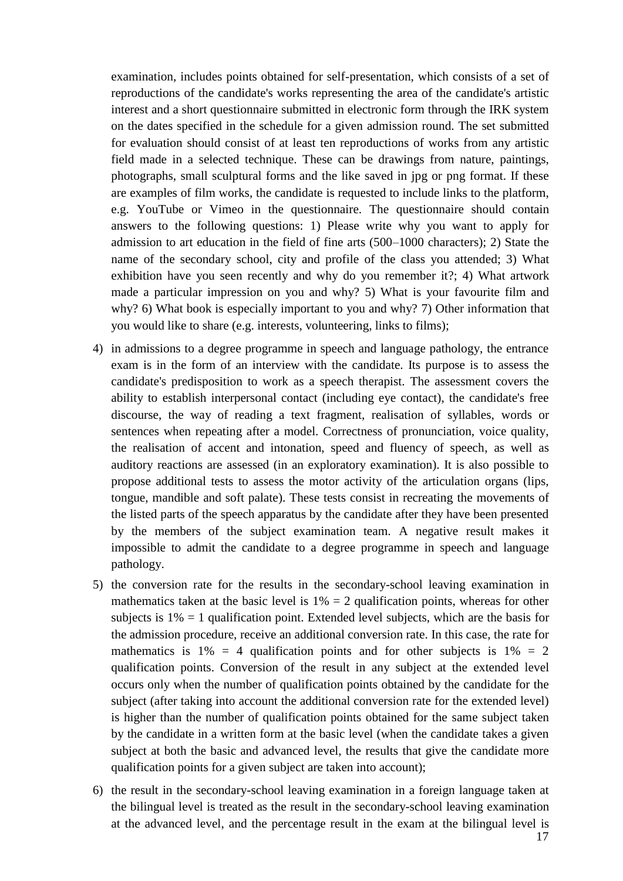examination, includes points obtained for self-presentation, which consists of a set of reproductions of the candidate's works representing the area of the candidate's artistic interest and a short questionnaire submitted in electronic form through the IRK system on the dates specified in the schedule for a given admission round. The set submitted for evaluation should consist of at least ten reproductions of works from any artistic field made in a selected technique. These can be drawings from nature, paintings, photographs, small sculptural forms and the like saved in jpg or png format. If these are examples of film works, the candidate is requested to include links to the platform, e.g. YouTube or Vimeo in the questionnaire. The questionnaire should contain answers to the following questions: 1) Please write why you want to apply for admission to art education in the field of fine arts (500–1000 characters); 2) State the name of the secondary school, city and profile of the class you attended; 3) What exhibition have you seen recently and why do you remember it?; 4) What artwork made a particular impression on you and why? 5) What is your favourite film and why? 6) What book is especially important to you and why? 7) Other information that you would like to share (e.g. interests, volunteering, links to films);

- 4) in admissions to a degree programme in speech and language pathology, the entrance exam is in the form of an interview with the candidate. Its purpose is to assess the candidate's predisposition to work as a speech therapist. The assessment covers the ability to establish interpersonal contact (including eye contact), the candidate's free discourse, the way of reading a text fragment, realisation of syllables, words or sentences when repeating after a model. Correctness of pronunciation, voice quality, the realisation of accent and intonation, speed and fluency of speech, as well as auditory reactions are assessed (in an exploratory examination). It is also possible to propose additional tests to assess the motor activity of the articulation organs (lips, tongue, mandible and soft palate). These tests consist in recreating the movements of the listed parts of the speech apparatus by the candidate after they have been presented by the members of the subject examination team. A negative result makes it impossible to admit the candidate to a degree programme in speech and language pathology.
- 5) the conversion rate for the results in the secondary-school leaving examination in mathematics taken at the basic level is  $1\% = 2$  qualification points, whereas for other subjects is  $1\% = 1$  qualification point. Extended level subjects, which are the basis for the admission procedure, receive an additional conversion rate. In this case, the rate for mathematics is  $1\% = 4$  qualification points and for other subjects is  $1\% = 2$ qualification points. Conversion of the result in any subject at the extended level occurs only when the number of qualification points obtained by the candidate for the subject (after taking into account the additional conversion rate for the extended level) is higher than the number of qualification points obtained for the same subject taken by the candidate in a written form at the basic level (when the candidate takes a given subject at both the basic and advanced level, the results that give the candidate more qualification points for a given subject are taken into account);
- 6) the result in the secondary-school leaving examination in a foreign language taken at the bilingual level is treated as the result in the secondary-school leaving examination at the advanced level, and the percentage result in the exam at the bilingual level is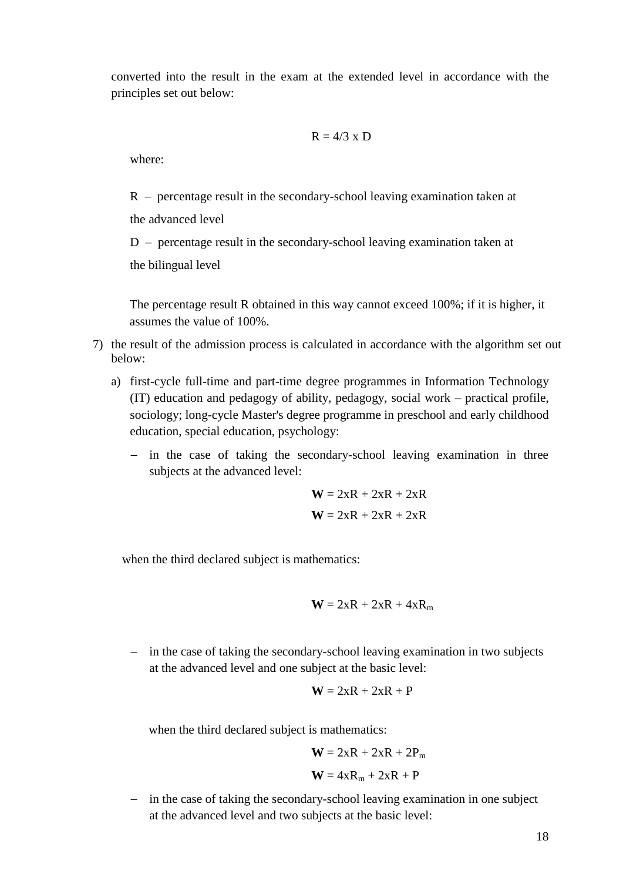converted into the result in the exam at the extended level in accordance with the principles set out below:

$$
R = 4/3 \times D
$$

where:

R – percentage result in the secondary-school leaving examination taken at

the advanced level

D – percentage result in the secondary-school leaving examination taken at

the bilingual level

The percentage result R obtained in this way cannot exceed 100%; if it is higher, it assumes the value of 100%.

- 7) the result of the admission process is calculated in accordance with the algorithm set out below:
	- a) first-cycle full-time and part-time degree programmes in Information Technology (IT) education and pedagogy of ability, pedagogy, social work – practical profile, sociology; long-cycle Master's degree programme in preschool and early childhood education, special education, psychology:
		- in the case of taking the secondary-school leaving examination in three subjects at the advanced level:

$$
W = 2xR + 2xR + 2xR
$$

$$
W = 2xR + 2xR + 2xR
$$

when the third declared subject is mathematics:

$$
W = 2xR + 2xR + 4xR_m
$$

- in the case of taking the secondary-school leaving examination in two subjects at the advanced level and one subject at the basic level:

$$
W = 2xR + 2xR + P
$$

when the third declared subject is mathematics:

$$
W = 2xR + 2xR + 2P_m
$$

$$
W = 4xR_m + 2xR + P
$$

- in the case of taking the secondary-school leaving examination in one subject at the advanced level and two subjects at the basic level: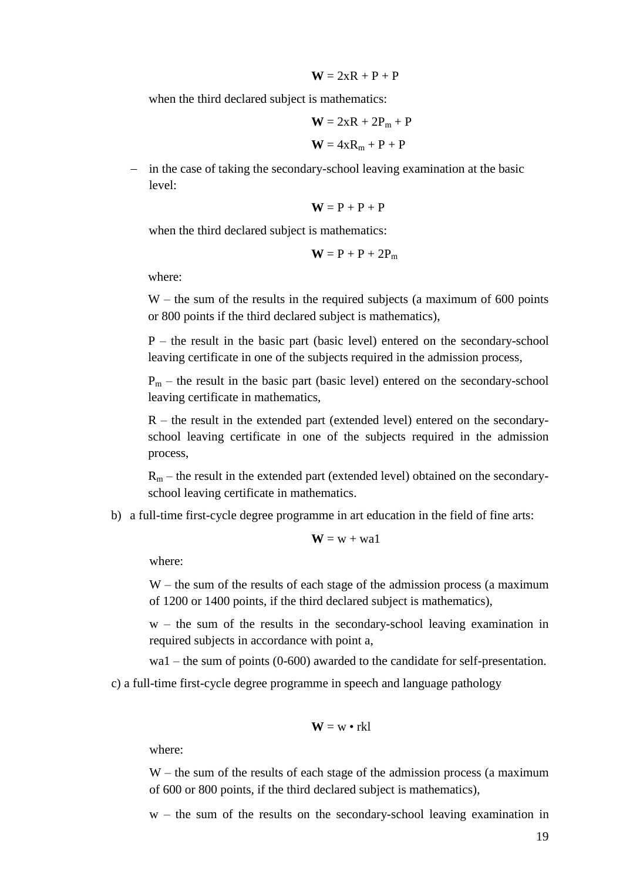$$
\mathbf{W}=2xR+P+P
$$

when the third declared subject is mathematics:

$$
W = 2xR + 2P_m + P
$$

$$
W = 4xR_m + P + P
$$

- in the case of taking the secondary-school leaving examination at the basic level:

$$
\mathbf{W} = P + P + P
$$

when the third declared subject is mathematics:

$$
\mathbf{W} = \mathbf{P} + \mathbf{P} + 2\mathbf{P}_m
$$

where:

W – the sum of the results in the required subjects (a maximum of 600 points or 800 points if the third declared subject is mathematics),

P – the result in the basic part (basic level) entered on the secondary-school leaving certificate in one of the subjects required in the admission process,

 $P_m$  – the result in the basic part (basic level) entered on the secondary-school leaving certificate in mathematics,

R – the result in the extended part (extended level) entered on the secondaryschool leaving certificate in one of the subjects required in the admission process,

 $R_m$  – the result in the extended part (extended level) obtained on the secondaryschool leaving certificate in mathematics.

b) a full-time first-cycle degree programme in art education in the field of fine arts:

$$
W = w + w a 1
$$

where:

W – the sum of the results of each stage of the admission process (a maximum of 1200 or 1400 points, if the third declared subject is mathematics),

 $w$  – the sum of the results in the secondary-school leaving examination in required subjects in accordance with point a,

wa1 – the sum of points (0-600) awarded to the candidate for self-presentation.

c) a full-time first-cycle degree programme in speech and language pathology

$$
\mathbf{W} = \mathbf{w} \bullet \mathbf{rk} \mathbf{l}
$$

where:

W – the sum of the results of each stage of the admission process (a maximum of 600 or 800 points, if the third declared subject is mathematics),

w – the sum of the results on the secondary-school leaving examination in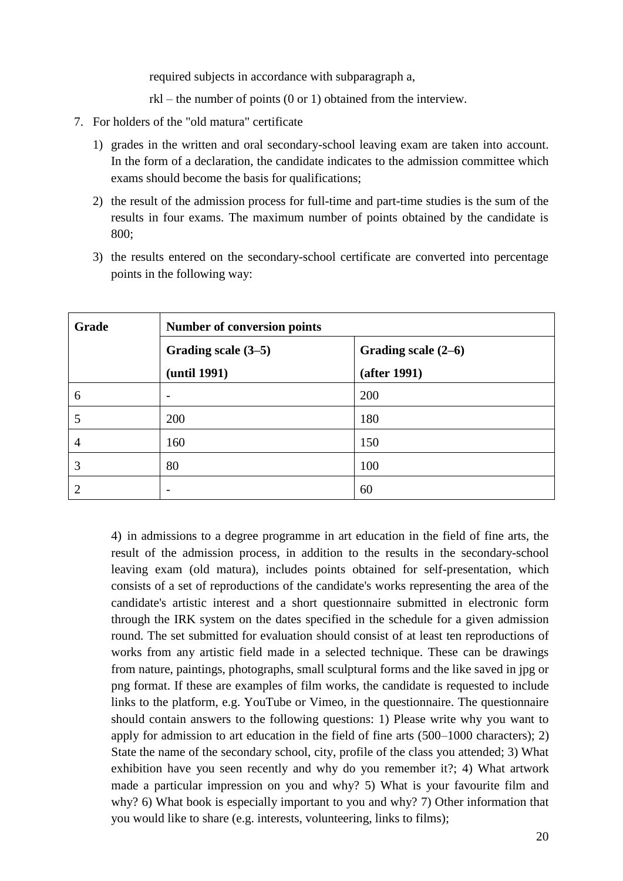required subjects in accordance with subparagraph a,

rkl – the number of points (0 or 1) obtained from the interview.

- 7. For holders of the "old matura" certificate
	- 1) grades in the written and oral secondary-school leaving exam are taken into account. In the form of a declaration, the candidate indicates to the admission committee which exams should become the basis for qualifications;
	- 2) the result of the admission process for full-time and part-time studies is the sum of the results in four exams. The maximum number of points obtained by the candidate is 800;
	- 3) the results entered on the secondary-school certificate are converted into percentage points in the following way:

| Grade | <b>Number of conversion points</b> |                     |
|-------|------------------------------------|---------------------|
|       | Grading scale (3–5)                | Grading scale (2–6) |
|       | (until 1991)                       | (after 1991)        |
| 6     |                                    | 200                 |
| 5     | 200                                | 180                 |
| 4     | 160                                | 150                 |
| 3     | 80                                 | 100                 |
| 2     |                                    | 60                  |

4) in admissions to a degree programme in art education in the field of fine arts, the result of the admission process, in addition to the results in the secondary-school leaving exam (old matura), includes points obtained for self-presentation, which consists of a set of reproductions of the candidate's works representing the area of the candidate's artistic interest and a short questionnaire submitted in electronic form through the IRK system on the dates specified in the schedule for a given admission round. The set submitted for evaluation should consist of at least ten reproductions of works from any artistic field made in a selected technique. These can be drawings from nature, paintings, photographs, small sculptural forms and the like saved in jpg or png format. If these are examples of film works, the candidate is requested to include links to the platform, e.g. YouTube or Vimeo, in the questionnaire. The questionnaire should contain answers to the following questions: 1) Please write why you want to apply for admission to art education in the field of fine arts (500–1000 characters); 2) State the name of the secondary school, city, profile of the class you attended; 3) What exhibition have you seen recently and why do you remember it?; 4) What artwork made a particular impression on you and why? 5) What is your favourite film and why? 6) What book is especially important to you and why? 7) Other information that you would like to share (e.g. interests, volunteering, links to films);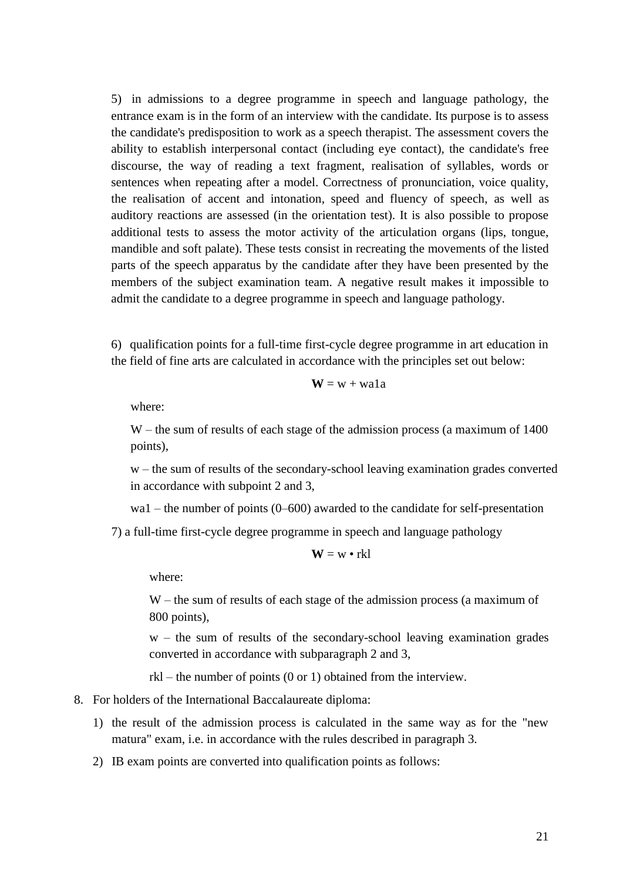5) in admissions to a degree programme in speech and language pathology, the entrance exam is in the form of an interview with the candidate. Its purpose is to assess the candidate's predisposition to work as a speech therapist. The assessment covers the ability to establish interpersonal contact (including eye contact), the candidate's free discourse, the way of reading a text fragment, realisation of syllables, words or sentences when repeating after a model. Correctness of pronunciation, voice quality, the realisation of accent and intonation, speed and fluency of speech, as well as auditory reactions are assessed (in the orientation test). It is also possible to propose additional tests to assess the motor activity of the articulation organs (lips, tongue, mandible and soft palate). These tests consist in recreating the movements of the listed parts of the speech apparatus by the candidate after they have been presented by the members of the subject examination team. A negative result makes it impossible to admit the candidate to a degree programme in speech and language pathology.

6) qualification points for a full-time first-cycle degree programme in art education in the field of fine arts are calculated in accordance with the principles set out below:

$$
W = w + wala
$$

where:

W – the sum of results of each stage of the admission process (a maximum of 1400 points),

w – the sum of results of the secondary-school leaving examination grades converted in accordance with subpoint 2 and 3,

wa1 – the number of points (0–600) awarded to the candidate for self-presentation

7) a full-time first-cycle degree programme in speech and language pathology

$$
\mathbf{W} = \mathbf{w} \bullet \mathbf{rk} \mathbf{l}
$$

where:

W – the sum of results of each stage of the admission process (a maximum of 800 points),

w – the sum of results of the secondary-school leaving examination grades converted in accordance with subparagraph 2 and 3,

rkl – the number of points (0 or 1) obtained from the interview.

- 8. For holders of the International Baccalaureate diploma:
	- 1) the result of the admission process is calculated in the same way as for the "new matura" exam, i.e. in accordance with the rules described in paragraph 3.
	- 2) IB exam points are converted into qualification points as follows: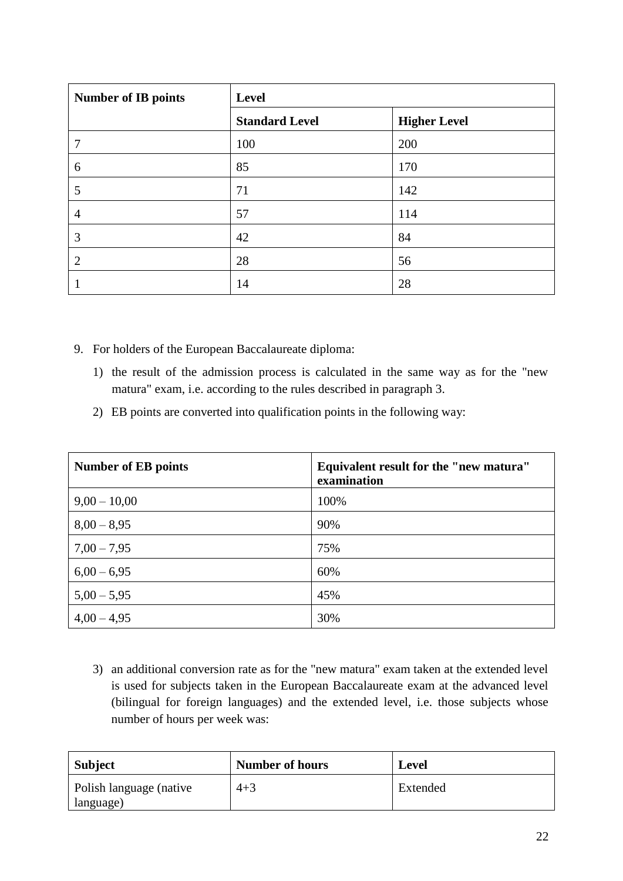| <b>Number of IB points</b> | Level                 |                     |
|----------------------------|-----------------------|---------------------|
|                            | <b>Standard Level</b> | <b>Higher Level</b> |
| 7                          | 100                   | 200                 |
| 6                          | 85                    | 170                 |
| 5                          | 71                    | 142                 |
| $\overline{4}$             | 57                    | 114                 |
| 3                          | 42                    | 84                  |
| $\overline{2}$             | 28                    | 56                  |
|                            | 14                    | 28                  |

- 9. For holders of the European Baccalaureate diploma:
	- 1) the result of the admission process is calculated in the same way as for the "new matura" exam, i.e. according to the rules described in paragraph 3.
	- 2) EB points are converted into qualification points in the following way:

| <b>Number of EB points</b> | Equivalent result for the "new matura"<br>examination |
|----------------------------|-------------------------------------------------------|
| $9,00 - 10,00$             | 100%                                                  |
| $8,00 - 8,95$              | 90%                                                   |
| $7,00 - 7,95$              | 75%                                                   |
| $6,00 - 6,95$              | 60%                                                   |
| $5,00 - 5,95$              | 45%                                                   |
| $4,00 - 4,95$              | 30%                                                   |

3) an additional conversion rate as for the "new matura" exam taken at the extended level is used for subjects taken in the European Baccalaureate exam at the advanced level (bilingual for foreign languages) and the extended level, i.e. those subjects whose number of hours per week was:

| <b>Subject</b>                       | <b>Number of hours</b> | <b>Level</b> |
|--------------------------------------|------------------------|--------------|
| Polish language (native<br>language) | $4 + 3$                | Extended     |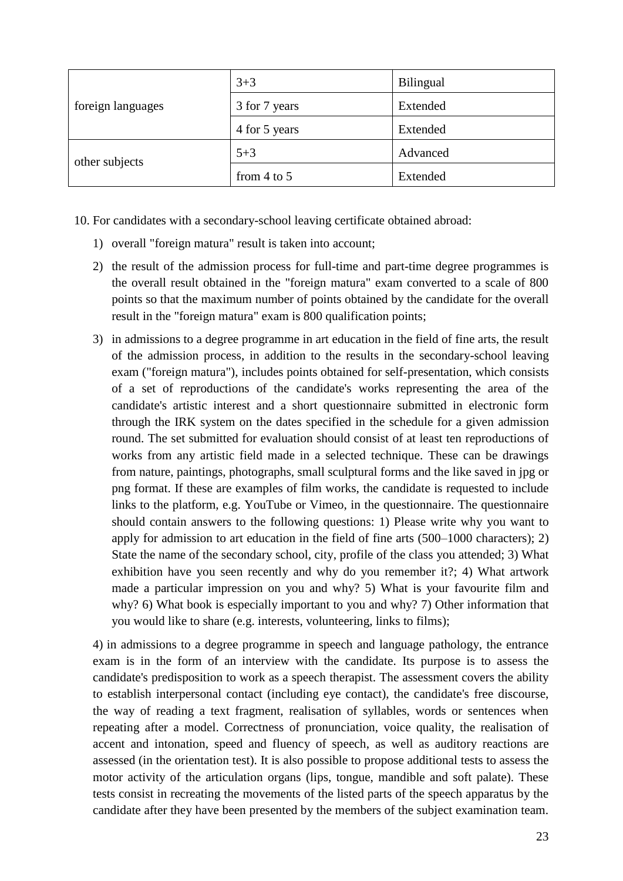| foreign languages | $3 + 3$         | Bilingual |
|-------------------|-----------------|-----------|
|                   | 3 for 7 years   | Extended  |
|                   | 4 for 5 years   | Extended  |
| other subjects    | $5 + 3$         | Advanced  |
|                   | from $4$ to $5$ | Extended  |

10. For candidates with a secondary-school leaving certificate obtained abroad:

- 1) overall "foreign matura" result is taken into account;
- 2) the result of the admission process for full-time and part-time degree programmes is the overall result obtained in the "foreign matura" exam converted to a scale of 800 points so that the maximum number of points obtained by the candidate for the overall result in the "foreign matura" exam is 800 qualification points;
- 3) in admissions to a degree programme in art education in the field of fine arts, the result of the admission process, in addition to the results in the secondary-school leaving exam ("foreign matura"), includes points obtained for self-presentation, which consists of a set of reproductions of the candidate's works representing the area of the candidate's artistic interest and a short questionnaire submitted in electronic form through the IRK system on the dates specified in the schedule for a given admission round. The set submitted for evaluation should consist of at least ten reproductions of works from any artistic field made in a selected technique. These can be drawings from nature, paintings, photographs, small sculptural forms and the like saved in jpg or png format. If these are examples of film works, the candidate is requested to include links to the platform, e.g. YouTube or Vimeo, in the questionnaire. The questionnaire should contain answers to the following questions: 1) Please write why you want to apply for admission to art education in the field of fine arts (500–1000 characters); 2) State the name of the secondary school, city, profile of the class you attended; 3) What exhibition have you seen recently and why do you remember it?; 4) What artwork made a particular impression on you and why? 5) What is your favourite film and why? 6) What book is especially important to you and why? 7) Other information that you would like to share (e.g. interests, volunteering, links to films);

4) in admissions to a degree programme in speech and language pathology, the entrance exam is in the form of an interview with the candidate. Its purpose is to assess the candidate's predisposition to work as a speech therapist. The assessment covers the ability to establish interpersonal contact (including eye contact), the candidate's free discourse, the way of reading a text fragment, realisation of syllables, words or sentences when repeating after a model. Correctness of pronunciation, voice quality, the realisation of accent and intonation, speed and fluency of speech, as well as auditory reactions are assessed (in the orientation test). It is also possible to propose additional tests to assess the motor activity of the articulation organs (lips, tongue, mandible and soft palate). These tests consist in recreating the movements of the listed parts of the speech apparatus by the candidate after they have been presented by the members of the subject examination team.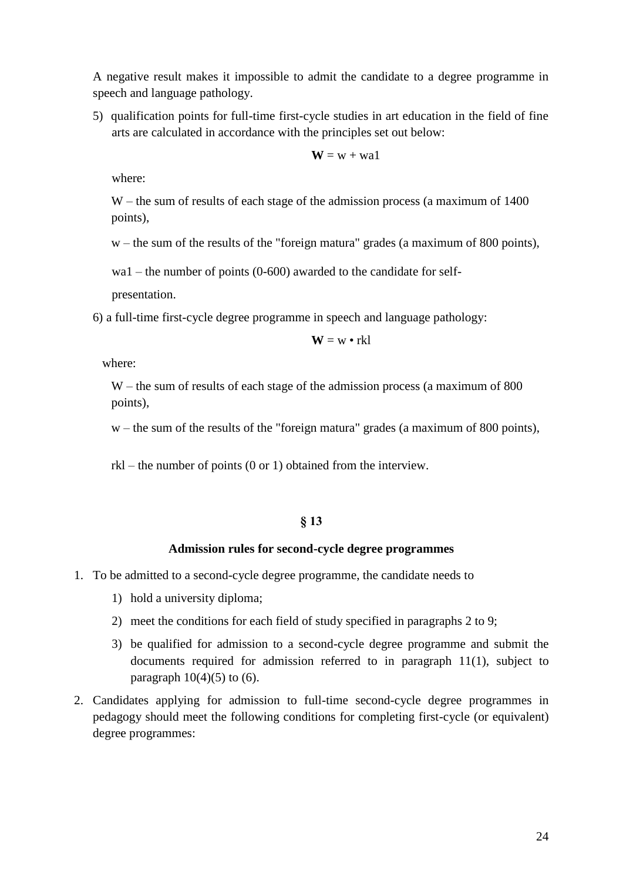A negative result makes it impossible to admit the candidate to a degree programme in speech and language pathology.

5) qualification points for full-time first-cycle studies in art education in the field of fine arts are calculated in accordance with the principles set out below:

$$
\mathbf{W} = \mathbf{w} + \mathbf{w} a \mathbf{1}
$$

where:

W – the sum of results of each stage of the admission process (a maximum of 1400) points),

w – the sum of the results of the "foreign matura" grades (a maximum of 800 points),

wa1 – the number of points (0-600) awarded to the candidate for self-

presentation.

6) a full-time first-cycle degree programme in speech and language pathology:

$$
\mathbf{W} = \mathbf{w} \bullet \mathbf{rk} \mathbf{l}
$$

where:

W – the sum of results of each stage of the admission process (a maximum of 800) points),

w – the sum of the results of the "foreign matura" grades (a maximum of 800 points),

rkl – the number of points (0 or 1) obtained from the interview.

### **§ 13**

#### **Admission rules for second-cycle degree programmes**

- 1. To be admitted to a second-cycle degree programme, the candidate needs to
	- 1) hold a university diploma;
	- 2) meet the conditions for each field of study specified in paragraphs 2 to 9;
	- 3) be qualified for admission to a second-cycle degree programme and submit the documents required for admission referred to in paragraph 11(1), subject to paragraph  $10(4)(5)$  to  $(6)$ .
- 2. Candidates applying for admission to full-time second-cycle degree programmes in pedagogy should meet the following conditions for completing first-cycle (or equivalent) degree programmes: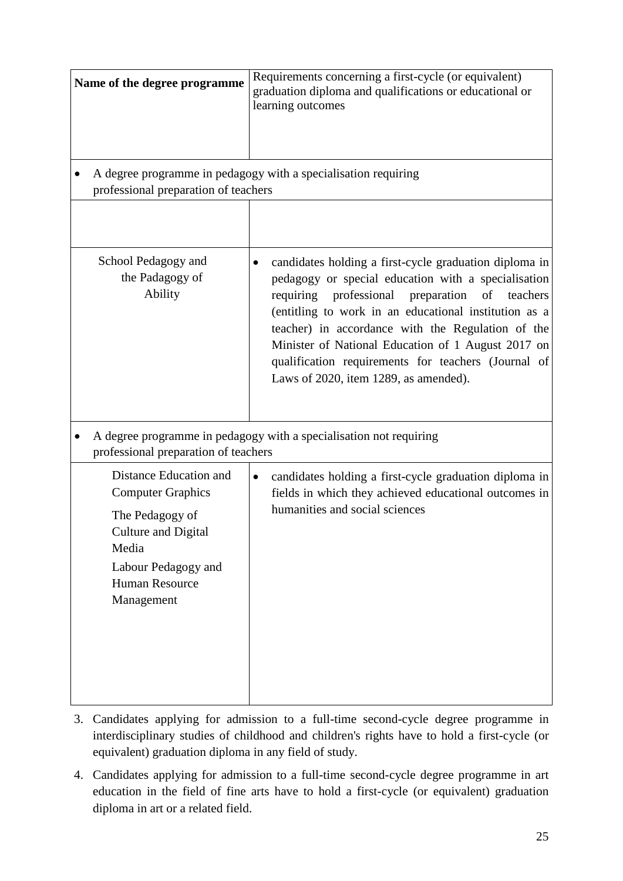| Name of the degree programme<br>professional preparation of teachers                                                                                                       | Requirements concerning a first-cycle (or equivalent)<br>graduation diploma and qualifications or educational or<br>learning outcomes<br>A degree programme in pedagogy with a specialisation requiring                                                                                                                                                                                                                                         |
|----------------------------------------------------------------------------------------------------------------------------------------------------------------------------|-------------------------------------------------------------------------------------------------------------------------------------------------------------------------------------------------------------------------------------------------------------------------------------------------------------------------------------------------------------------------------------------------------------------------------------------------|
|                                                                                                                                                                            |                                                                                                                                                                                                                                                                                                                                                                                                                                                 |
| School Pedagogy and<br>the Padagogy of<br>Ability                                                                                                                          | candidates holding a first-cycle graduation diploma in<br>pedagogy or special education with a specialisation<br>professional<br>preparation<br>of<br>requiring<br>teachers<br>(entitling to work in an educational institution as a<br>teacher) in accordance with the Regulation of the<br>Minister of National Education of 1 August 2017 on<br>qualification requirements for teachers (Journal of<br>Laws of 2020, item 1289, as amended). |
| professional preparation of teachers                                                                                                                                       | A degree programme in pedagogy with a specialisation not requiring                                                                                                                                                                                                                                                                                                                                                                              |
| Distance Education and<br><b>Computer Graphics</b><br>The Pedagogy of<br><b>Culture and Digital</b><br>Media<br>Labour Pedagogy and<br><b>Human Resource</b><br>Management | candidates holding a first-cycle graduation diploma in<br>$\bullet$<br>fields in which they achieved educational outcomes in<br>humanities and social sciences                                                                                                                                                                                                                                                                                  |

- 3. Candidates applying for admission to a full-time second-cycle degree programme in interdisciplinary studies of childhood and children's rights have to hold a first-cycle (or equivalent) graduation diploma in any field of study.
- 4. Candidates applying for admission to a full-time second-cycle degree programme in art education in the field of fine arts have to hold a first-cycle (or equivalent) graduation diploma in art or a related field.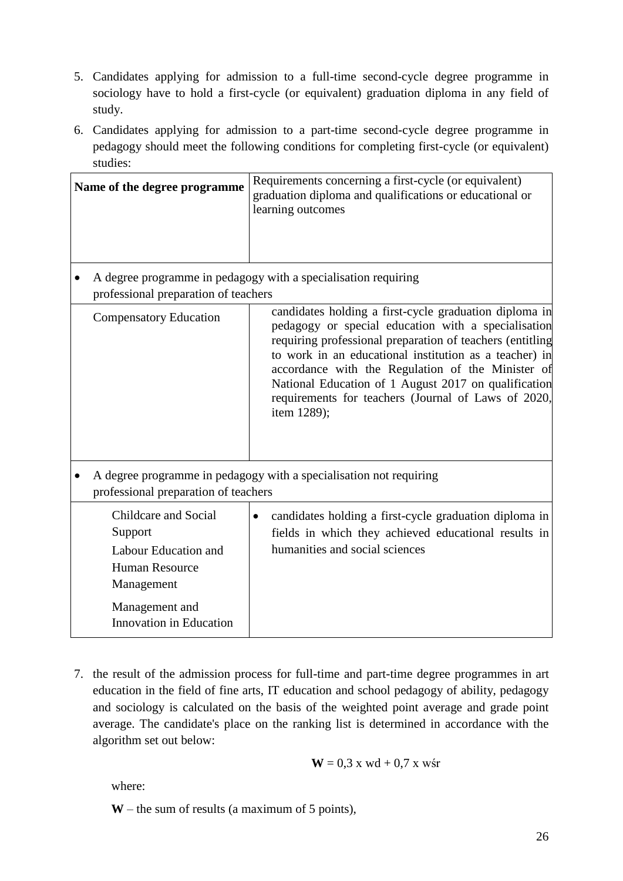- 5. Candidates applying for admission to a full-time second-cycle degree programme in sociology have to hold a first-cycle (or equivalent) graduation diploma in any field of study.
- 6. Candidates applying for admission to a part-time second-cycle degree programme in pedagogy should meet the following conditions for completing first-cycle (or equivalent) studies:

| Name of the degree programme                                                                           | Requirements concerning a first-cycle (or equivalent)<br>graduation diploma and qualifications or educational or<br>learning outcomes                                                                                                                                                                                                                                                                                   |
|--------------------------------------------------------------------------------------------------------|-------------------------------------------------------------------------------------------------------------------------------------------------------------------------------------------------------------------------------------------------------------------------------------------------------------------------------------------------------------------------------------------------------------------------|
| A degree programme in pedagogy with a specialisation requiring<br>professional preparation of teachers |                                                                                                                                                                                                                                                                                                                                                                                                                         |
| <b>Compensatory Education</b>                                                                          | candidates holding a first-cycle graduation diploma in<br>pedagogy or special education with a specialisation<br>requiring professional preparation of teachers (entitling<br>to work in an educational institution as a teacher) in<br>accordance with the Regulation of the Minister of<br>National Education of 1 August 2017 on qualification<br>requirements for teachers (Journal of Laws of 2020,<br>item 1289); |
| professional preparation of teachers                                                                   | A degree programme in pedagogy with a specialisation not requiring                                                                                                                                                                                                                                                                                                                                                      |
| Childcare and Social<br>Support<br>Labour Education and<br><b>Human Resource</b><br>Management         | candidates holding a first-cycle graduation diploma in<br>fields in which they achieved educational results in<br>humanities and social sciences                                                                                                                                                                                                                                                                        |
| Management and<br><b>Innovation</b> in Education                                                       |                                                                                                                                                                                                                                                                                                                                                                                                                         |

7. the result of the admission process for full-time and part-time degree programmes in art education in the field of fine arts, IT education and school pedagogy of ability, pedagogy and sociology is calculated on the basis of the weighted point average and grade point average. The candidate's place on the ranking list is determined in accordance with the algorithm set out below:

$$
W = 0.3 \times wd + 0.7 \times w\text{sr}
$$

where:

**W** – the sum of results (a maximum of 5 points),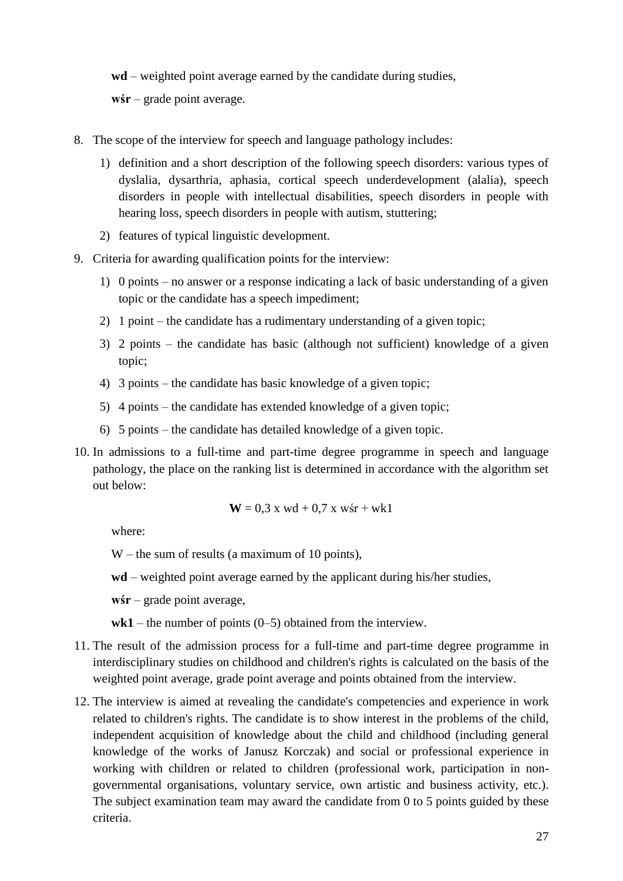**wd** – weighted point average earned by the candidate during studies,

**wśr** – grade point average.

- 8. The scope of the interview for speech and language pathology includes:
	- 1) definition and a short description of the following speech disorders: various types of dyslalia, dysarthria, aphasia, cortical speech underdevelopment (alalia), speech disorders in people with intellectual disabilities, speech disorders in people with hearing loss, speech disorders in people with autism, stuttering;
	- 2) features of typical linguistic development.
- 9. Criteria for awarding qualification points for the interview:
	- 1) 0 points no answer or a response indicating a lack of basic understanding of a given topic or the candidate has a speech impediment;
	- 2) 1 point the candidate has a rudimentary understanding of a given topic;
	- 3) 2 points the candidate has basic (although not sufficient) knowledge of a given topic;
	- 4) 3 points the candidate has basic knowledge of a given topic;
	- 5) 4 points the candidate has extended knowledge of a given topic;
	- 6) 5 points the candidate has detailed knowledge of a given topic.
- 10. In admissions to a full-time and part-time degree programme in speech and language pathology, the place on the ranking list is determined in accordance with the algorithm set out below:

$$
W = 0.3
$$
 x wd + 0.7 x wśr + wk1

where:

- W the sum of results (a maximum of 10 points),
- **wd**  weighted point average earned by the applicant during his/her studies,
- **wśr**  grade point average,
- $wk1$  the number of points (0–5) obtained from the interview.
- 11. The result of the admission process for a full-time and part-time degree programme in interdisciplinary studies on childhood and children's rights is calculated on the basis of the weighted point average, grade point average and points obtained from the interview.
- 12. The interview is aimed at revealing the candidate's competencies and experience in work related to children's rights. The candidate is to show interest in the problems of the child, independent acquisition of knowledge about the child and childhood (including general knowledge of the works of Janusz Korczak) and social or professional experience in working with children or related to children (professional work, participation in nongovernmental organisations, voluntary service, own artistic and business activity, etc.). The subject examination team may award the candidate from 0 to 5 points guided by these criteria.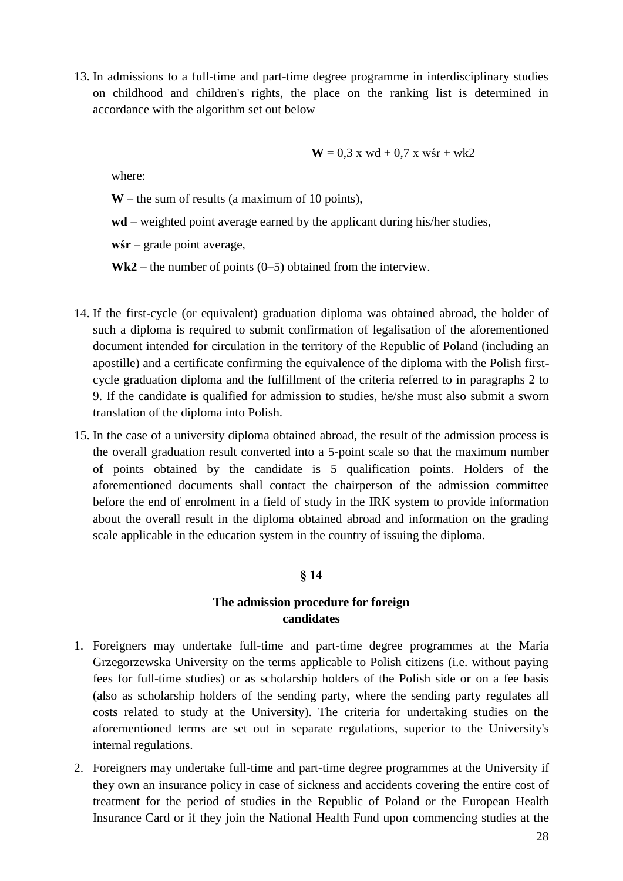13. In admissions to a full-time and part-time degree programme in interdisciplinary studies on childhood and children's rights, the place on the ranking list is determined in accordance with the algorithm set out below

$$
W = 0.3
$$
 x wd + 0.7 x wśr + wk2

where:

**W** – the sum of results (a maximum of 10 points),

**wd** – weighted point average earned by the applicant during his/her studies,

**wśr** – grade point average,

 $Wk2$  – the number of points  $(0-5)$  obtained from the interview.

- 14. If the first-cycle (or equivalent) graduation diploma was obtained abroad, the holder of such a diploma is required to submit confirmation of legalisation of the aforementioned document intended for circulation in the territory of the Republic of Poland (including an apostille) and a certificate confirming the equivalence of the diploma with the Polish firstcycle graduation diploma and the fulfillment of the criteria referred to in paragraphs 2 to 9. If the candidate is qualified for admission to studies, he/she must also submit a sworn translation of the diploma into Polish.
- 15. In the case of a university diploma obtained abroad, the result of the admission process is the overall graduation result converted into a 5-point scale so that the maximum number of points obtained by the candidate is 5 qualification points. Holders of the aforementioned documents shall contact the chairperson of the admission committee before the end of enrolment in a field of study in the IRK system to provide information about the overall result in the diploma obtained abroad and information on the grading scale applicable in the education system in the country of issuing the diploma.

### **§ 14**

## **The admission procedure for foreign candidates**

- 1. Foreigners may undertake full-time and part-time degree programmes at the Maria Grzegorzewska University on the terms applicable to Polish citizens (i.e. without paying fees for full-time studies) or as scholarship holders of the Polish side or on a fee basis (also as scholarship holders of the sending party, where the sending party regulates all costs related to study at the University). The criteria for undertaking studies on the aforementioned terms are set out in separate regulations, superior to the University's internal regulations.
- 2. Foreigners may undertake full-time and part-time degree programmes at the University if they own an insurance policy in case of sickness and accidents covering the entire cost of treatment for the period of studies in the Republic of Poland or the European Health Insurance Card or if they join the National Health Fund upon commencing studies at the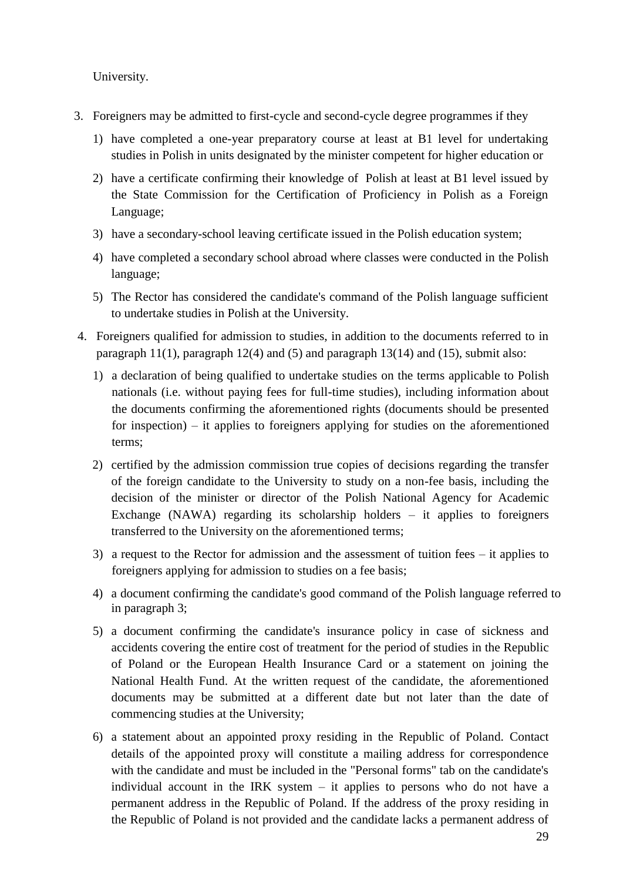University.

- 3. Foreigners may be admitted to first-cycle and second-cycle degree programmes if they
	- 1) have completed a one-year preparatory course at least at B1 level for undertaking studies in Polish in units designated by the minister competent for higher education or
	- 2) have a certificate confirming their knowledge of Polish at least at B1 level issued by the State Commission for the Certification of Proficiency in Polish as a Foreign Language;
	- 3) have a secondary-school leaving certificate issued in the Polish education system;
	- 4) have completed a secondary school abroad where classes were conducted in the Polish language;
	- 5) The Rector has considered the candidate's command of the Polish language sufficient to undertake studies in Polish at the University.
- 4. Foreigners qualified for admission to studies, in addition to the documents referred to in paragraph 11(1), paragraph 12(4) and (5) and paragraph 13(14) and (15), submit also:
	- 1) a declaration of being qualified to undertake studies on the terms applicable to Polish nationals (i.e. without paying fees for full-time studies), including information about the documents confirming the aforementioned rights (documents should be presented for inspection) – it applies to foreigners applying for studies on the aforementioned terms;
	- 2) certified by the admission commission true copies of decisions regarding the transfer of the foreign candidate to the University to study on a non-fee basis, including the decision of the minister or director of the Polish National Agency for Academic Exchange (NAWA) regarding its scholarship holders – it applies to foreigners transferred to the University on the aforementioned terms;
	- 3) a request to the Rector for admission and the assessment of tuition fees it applies to foreigners applying for admission to studies on a fee basis;
	- 4) a document confirming the candidate's good command of the Polish language referred to in paragraph 3;
	- 5) a document confirming the candidate's insurance policy in case of sickness and accidents covering the entire cost of treatment for the period of studies in the Republic of Poland or the European Health Insurance Card or a statement on joining the National Health Fund. At the written request of the candidate, the aforementioned documents may be submitted at a different date but not later than the date of commencing studies at the University;
	- 6) a statement about an appointed proxy residing in the Republic of Poland. Contact details of the appointed proxy will constitute a mailing address for correspondence with the candidate and must be included in the "Personal forms" tab on the candidate's individual account in the IRK system – it applies to persons who do not have a permanent address in the Republic of Poland. If the address of the proxy residing in the Republic of Poland is not provided and the candidate lacks a permanent address of